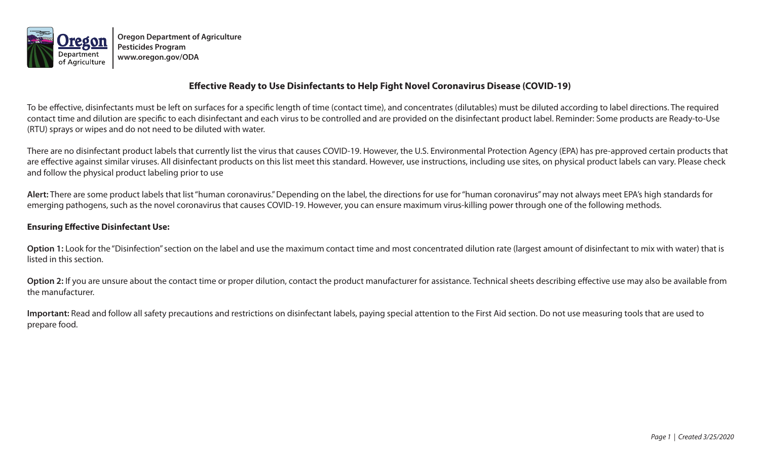

**Oregon Department of Agriculture Pesticides Program www.oregon.gov/ODA**

## **Effective Ready to Use Disinfectants to Help Fight Novel Coronavirus Disease (COVID-19)**

To be effective, disinfectants must be left on surfaces for a specific length of time (contact time), and concentrates (dilutables) must be diluted according to label directions. The required contact time and dilution are specific to each disinfectant and each virus to be controlled and are provided on the disinfectant product label. Reminder: Some products are Ready-to-Use (RTU) sprays or wipes and do not need to be diluted with water.

There are no disinfectant product labels that currently list the virus that causes COVID-19. However, the U.S. Environmental Protection Agency (EPA) has pre-approved certain products that are effective against similar viruses. All disinfectant products on this list meet this standard. However, use instructions, including use sites, on physical product labels can vary. Please check and follow the physical product labeling prior to use

**Alert:** There are some product labels that list "human coronavirus." Depending on the label, the directions for use for "human coronavirus" may not always meet EPA's high standards for emerging pathogens, such as the novel coronavirus that causes COVID-19. However, you can ensure maximum virus-killing power through one of the following methods.

## **Ensuring Effective Disinfectant Use:**

Option 1: Look for the "Disinfection" section on the label and use the maximum contact time and most concentrated dilution rate (largest amount of disinfectant to mix with water) that is listed in this section.

Option 2: If you are unsure about the contact time or proper dilution, contact the product manufacturer for assistance. Technical sheets describing effective use may also be available from the manufacturer.

**Important:** Read and follow all safety precautions and restrictions on disinfectant labels, paying special attention to the First Aid section. Do not use measuring tools that are used to prepare food.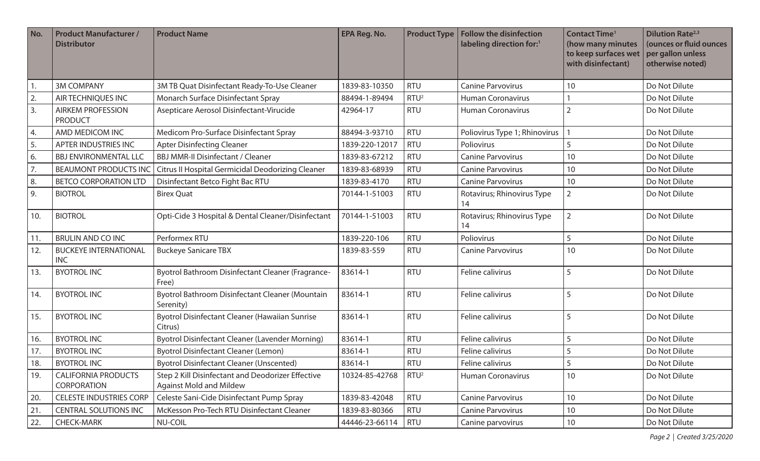| No. | <b>Product Manufacturer /</b><br><b>Distributor</b> | <b>Product Name</b>                                                                 | <b>EPA Reg. No.</b> | <b>Product Type</b> | <b>Follow the disinfection</b><br>labeling direction for:1 | <b>Contact Time<sup>1</sup></b><br>(how many minutes<br>to keep surfaces wet<br>with disinfectant) | <b>Dilution Rate</b> <sup>2,3</sup><br>(ounces or fluid ounces<br>per gallon unless<br>otherwise noted) |
|-----|-----------------------------------------------------|-------------------------------------------------------------------------------------|---------------------|---------------------|------------------------------------------------------------|----------------------------------------------------------------------------------------------------|---------------------------------------------------------------------------------------------------------|
|     | <b>3M COMPANY</b>                                   | 3M TB Quat Disinfectant Ready-To-Use Cleaner                                        | 1839-83-10350       | <b>RTU</b>          | <b>Canine Parvovirus</b>                                   | 10                                                                                                 | Do Not Dilute                                                                                           |
| 2.  | AIR TECHNIQUES INC                                  | Monarch Surface Disinfectant Spray                                                  | 88494-1-89494       | RTU <sup>2</sup>    | <b>Human Coronavirus</b>                                   |                                                                                                    | Do Not Dilute                                                                                           |
| 3.  | <b>AIRKEM PROFESSION</b><br><b>PRODUCT</b>          | Asepticare Aerosol Disinfectant-Virucide                                            | 42964-17            | <b>RTU</b>          | <b>Human Coronavirus</b>                                   | $\overline{2}$                                                                                     | Do Not Dilute                                                                                           |
| 4.  | AMD MEDICOM INC                                     | Medicom Pro-Surface Disinfectant Spray                                              | 88494-3-93710       | <b>RTU</b>          | Poliovirus Type 1; Rhinovirus                              |                                                                                                    | Do Not Dilute                                                                                           |
| 5.  | APTER INDUSTRIES INC                                | <b>Apter Disinfecting Cleaner</b>                                                   | 1839-220-12017      | <b>RTU</b>          | Poliovirus                                                 | 5                                                                                                  | Do Not Dilute                                                                                           |
| 6.  | <b>BBJ ENVIRONMENTAL LLC</b>                        | <b>BBJ MMR-II Disinfectant / Cleaner</b>                                            | 1839-83-67212       | <b>RTU</b>          | <b>Canine Parvovirus</b>                                   | 10                                                                                                 | Do Not Dilute                                                                                           |
| 7.  | <b>BEAUMONT PRODUCTS INC</b>                        | Citrus II Hospital Germicidal Deodorizing Cleaner                                   | 1839-83-68939       | <b>RTU</b>          | <b>Canine Parvovirus</b>                                   | 10                                                                                                 | Do Not Dilute                                                                                           |
| 8.  | <b>BETCO CORPORATION LTD</b>                        | Disinfectant Betco Fight Bac RTU                                                    | 1839-83-4170        | <b>RTU</b>          | <b>Canine Parvovirus</b>                                   | 10                                                                                                 | Do Not Dilute                                                                                           |
| 9.  | <b>BIOTROL</b>                                      | <b>Birex Quat</b>                                                                   | 70144-1-51003       | <b>RTU</b>          | Rotavirus; Rhinovirus Type<br>14                           | $\overline{2}$                                                                                     | Do Not Dilute                                                                                           |
| 10. | <b>BIOTROL</b>                                      | Opti-Cide 3 Hospital & Dental Cleaner/Disinfectant                                  | 70144-1-51003       | <b>RTU</b>          | Rotavirus; Rhinovirus Type<br>14                           | $\overline{2}$                                                                                     | Do Not Dilute                                                                                           |
| 11. | <b>BRULIN AND CO INC</b>                            | Performex RTU                                                                       | 1839-220-106        | <b>RTU</b>          | Poliovirus                                                 | 5                                                                                                  | Do Not Dilute                                                                                           |
| 12. | <b>BUCKEYE INTERNATIONAL</b><br><b>INC</b>          | <b>Buckeye Sanicare TBX</b>                                                         | 1839-83-559         | <b>RTU</b>          | <b>Canine Parvovirus</b>                                   | 10                                                                                                 | Do Not Dilute                                                                                           |
| 13. | <b>BYOTROL INC</b>                                  | Byotrol Bathroom Disinfectant Cleaner (Fragrance-<br>Free)                          | 83614-1             | <b>RTU</b>          | Feline calivirus                                           | 5                                                                                                  | Do Not Dilute                                                                                           |
| 14. | <b>BYOTROL INC</b>                                  | Byotrol Bathroom Disinfectant Cleaner (Mountain<br>Serenity)                        | 83614-1             | <b>RTU</b>          | Feline calivirus                                           | 5                                                                                                  | Do Not Dilute                                                                                           |
| 15. | <b>BYOTROL INC</b>                                  | Byotrol Disinfectant Cleaner (Hawaiian Sunrise<br>Citrus)                           | 83614-1             | <b>RTU</b>          | Feline calivirus                                           | 5                                                                                                  | Do Not Dilute                                                                                           |
| 16. | <b>BYOTROL INC</b>                                  | Byotrol Disinfectant Cleaner (Lavender Morning)                                     | 83614-1             | <b>RTU</b>          | Feline calivirus                                           | 5                                                                                                  | Do Not Dilute                                                                                           |
| 17. | <b>BYOTROL INC</b>                                  | <b>Byotrol Disinfectant Cleaner (Lemon)</b>                                         | 83614-1             | <b>RTU</b>          | Feline calivirus                                           | 5                                                                                                  | Do Not Dilute                                                                                           |
| 18. | <b>BYOTROL INC</b>                                  | <b>Byotrol Disinfectant Cleaner (Unscented)</b>                                     | 83614-1             | RTU                 | Feline calivirus                                           | $\overline{5}$                                                                                     | Do Not Dilute                                                                                           |
| 19. | <b>CALIFORNIA PRODUCTS</b><br><b>CORPORATION</b>    | Step 2 Kill Disinfectant and Deodorizer Effective<br><b>Against Mold and Mildew</b> | 10324-85-42768      | RTU <sup>2</sup>    | <b>Human Coronavirus</b>                                   | 10                                                                                                 | Do Not Dilute                                                                                           |
| 20. | <b>CELESTE INDUSTRIES CORP</b>                      | Celeste Sani-Cide Disinfectant Pump Spray                                           | 1839-83-42048       | <b>RTU</b>          | <b>Canine Parvovirus</b>                                   | 10                                                                                                 | Do Not Dilute                                                                                           |
| 21. | <b>CENTRAL SOLUTIONS INC</b>                        | McKesson Pro-Tech RTU Disinfectant Cleaner                                          | 1839-83-80366       | <b>RTU</b>          | <b>Canine Parvovirus</b>                                   | 10                                                                                                 | Do Not Dilute                                                                                           |
| 22. | <b>CHECK-MARK</b>                                   | NU-COIL                                                                             | 44446-23-66114      | <b>RTU</b>          | Canine parvovirus                                          | 10                                                                                                 | Do Not Dilute                                                                                           |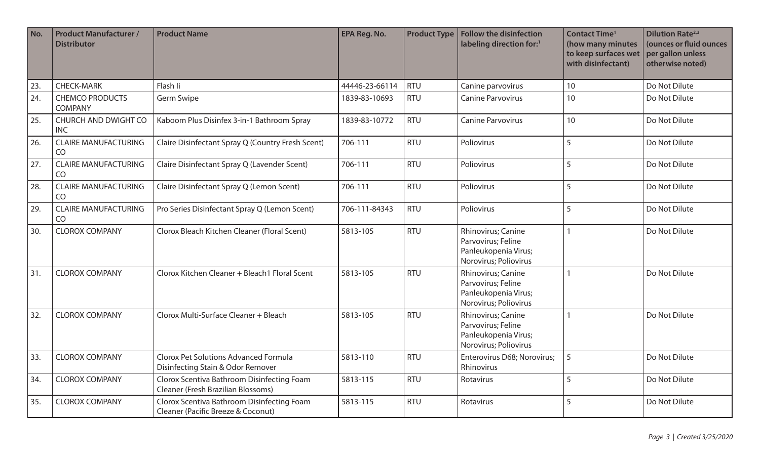| No. | <b>Product Manufacturer /</b><br><b>Distributor</b> | <b>Product Name</b>                                                               | <b>EPA Reg. No.</b> | <b>Product Type</b> | <b>Follow the disinfection</b><br>labeling direction for:1                                | <b>Contact Time<sup>1</sup></b><br>(how many minutes<br>to keep surfaces wet<br>with disinfectant) | <b>Dilution Rate</b> <sup>2,3</sup><br>(ounces or fluid ounces<br>per gallon unless<br>otherwise noted) |
|-----|-----------------------------------------------------|-----------------------------------------------------------------------------------|---------------------|---------------------|-------------------------------------------------------------------------------------------|----------------------------------------------------------------------------------------------------|---------------------------------------------------------------------------------------------------------|
| 23. | <b>CHECK-MARK</b>                                   | Flash li                                                                          | 44446-23-66114      | <b>RTU</b>          | Canine parvovirus                                                                         | 10                                                                                                 | Do Not Dilute                                                                                           |
| 24. | <b>CHEMCO PRODUCTS</b><br><b>COMPANY</b>            | Germ Swipe                                                                        | 1839-83-10693       | <b>RTU</b>          | <b>Canine Parvovirus</b>                                                                  | 10                                                                                                 | Do Not Dilute                                                                                           |
| 25. | CHURCH AND DWIGHT CO<br><b>INC</b>                  | Kaboom Plus Disinfex 3-in-1 Bathroom Spray                                        | 1839-83-10772       | <b>RTU</b>          | <b>Canine Parvovirus</b>                                                                  | 10                                                                                                 | Do Not Dilute                                                                                           |
| 26. | <b>CLAIRE MANUFACTURING</b><br>CO                   | Claire Disinfectant Spray Q (Country Fresh Scent)                                 | 706-111             | <b>RTU</b>          | Poliovirus                                                                                | 5                                                                                                  | Do Not Dilute                                                                                           |
| 27. | <b>CLAIRE MANUFACTURING</b><br>CO                   | Claire Disinfectant Spray Q (Lavender Scent)                                      | 706-111             | <b>RTU</b>          | Poliovirus                                                                                | 5                                                                                                  | Do Not Dilute                                                                                           |
| 28. | <b>CLAIRE MANUFACTURING</b><br>CO                   | Claire Disinfectant Spray Q (Lemon Scent)                                         | 706-111             | <b>RTU</b>          | Poliovirus                                                                                | 5                                                                                                  | Do Not Dilute                                                                                           |
| 29. | <b>CLAIRE MANUFACTURING</b><br>CO                   | Pro Series Disinfectant Spray Q (Lemon Scent)                                     | 706-111-84343       | <b>RTU</b>          | Poliovirus                                                                                | 5                                                                                                  | Do Not Dilute                                                                                           |
| 30. | <b>CLOROX COMPANY</b>                               | Clorox Bleach Kitchen Cleaner (Floral Scent)                                      | 5813-105            | <b>RTU</b>          | Rhinovirus; Canine<br>Parvovirus; Feline<br>Panleukopenia Virus;<br>Norovirus; Poliovirus |                                                                                                    | Do Not Dilute                                                                                           |
| 31. | <b>CLOROX COMPANY</b>                               | Clorox Kitchen Cleaner + Bleach1 Floral Scent                                     | 5813-105            | <b>RTU</b>          | Rhinovirus; Canine<br>Parvovirus; Feline<br>Panleukopenia Virus;<br>Norovirus; Poliovirus |                                                                                                    | Do Not Dilute                                                                                           |
| 32. | <b>CLOROX COMPANY</b>                               | Clorox Multi-Surface Cleaner + Bleach                                             | 5813-105            | <b>RTU</b>          | Rhinovirus; Canine<br>Parvovirus; Feline<br>Panleukopenia Virus;<br>Norovirus; Poliovirus |                                                                                                    | Do Not Dilute                                                                                           |
| 33. | <b>CLOROX COMPANY</b>                               | <b>Clorox Pet Solutions Advanced Formula</b><br>Disinfecting Stain & Odor Remover | 5813-110            | <b>RTU</b>          | Enterovirus D68; Norovirus;<br>Rhinovirus                                                 | 5                                                                                                  | Do Not Dilute                                                                                           |
| 34. | <b>CLOROX COMPANY</b>                               | Clorox Scentiva Bathroom Disinfecting Foam<br>Cleaner (Fresh Brazilian Blossoms)  | 5813-115            | <b>RTU</b>          | Rotavirus                                                                                 | 5                                                                                                  | Do Not Dilute                                                                                           |
| 35. | <b>CLOROX COMPANY</b>                               | Clorox Scentiva Bathroom Disinfecting Foam<br>Cleaner (Pacific Breeze & Coconut)  | 5813-115            | <b>RTU</b>          | Rotavirus                                                                                 | 5                                                                                                  | Do Not Dilute                                                                                           |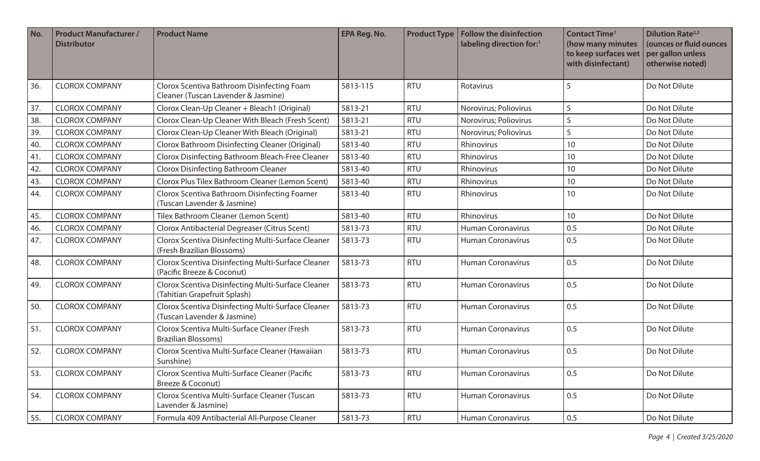| No. | <b>Product Manufacturer /</b><br><b>Distributor</b> | <b>Product Name</b>                                                                | <b>EPA Reg. No.</b> | <b>Product Type</b> | <b>Follow the disinfection</b><br>labeling direction for:1 | <b>Contact Time<sup>1</sup></b><br>(how many minutes<br>to keep surfaces wet<br>with disinfectant) | <b>Dilution Rate</b> <sup>2,3</sup><br>(ounces or fluid ounces<br>per gallon unless<br>otherwise noted) |
|-----|-----------------------------------------------------|------------------------------------------------------------------------------------|---------------------|---------------------|------------------------------------------------------------|----------------------------------------------------------------------------------------------------|---------------------------------------------------------------------------------------------------------|
| 36. | <b>CLOROX COMPANY</b>                               | Clorox Scentiva Bathroom Disinfecting Foam<br>Cleaner (Tuscan Lavender & Jasmine)  | 5813-115            | <b>RTU</b>          | Rotavirus                                                  | 5                                                                                                  | Do Not Dilute                                                                                           |
| 37. | <b>CLOROX COMPANY</b>                               | Clorox Clean-Up Cleaner + Bleach1 (Original)                                       | 5813-21             | <b>RTU</b>          | Norovirus; Poliovirus                                      | 5                                                                                                  | Do Not Dilute                                                                                           |
| 38. | <b>CLOROX COMPANY</b>                               | Clorox Clean-Up Cleaner With Bleach (Fresh Scent)                                  | 5813-21             | <b>RTU</b>          | Norovirus; Poliovirus                                      | 5                                                                                                  | Do Not Dilute                                                                                           |
| 39. | <b>CLOROX COMPANY</b>                               | Clorox Clean-Up Cleaner With Bleach (Original)                                     | 5813-21             | <b>RTU</b>          | Norovirus; Poliovirus                                      | 5                                                                                                  | Do Not Dilute                                                                                           |
| 40. | <b>CLOROX COMPANY</b>                               | Clorox Bathroom Disinfecting Cleaner (Original)                                    | 5813-40             | <b>RTU</b>          | Rhinovirus                                                 | 10                                                                                                 | Do Not Dilute                                                                                           |
| 41. | <b>CLOROX COMPANY</b>                               | Clorox Disinfecting Bathroom Bleach-Free Cleaner                                   | 5813-40             | <b>RTU</b>          | Rhinovirus                                                 | 10                                                                                                 | Do Not Dilute                                                                                           |
| 42. | <b>CLOROX COMPANY</b>                               | <b>Clorox Disinfecting Bathroom Cleaner</b>                                        | 5813-40             | <b>RTU</b>          | Rhinovirus                                                 | 10                                                                                                 | Do Not Dilute                                                                                           |
| 43. | <b>CLOROX COMPANY</b>                               | Clorox Plus Tilex Bathroom Cleaner (Lemon Scent)                                   | 5813-40             | <b>RTU</b>          | Rhinovirus                                                 | 10                                                                                                 | Do Not Dilute                                                                                           |
| 44. | <b>CLOROX COMPANY</b>                               | Clorox Scentiva Bathroom Disinfecting Foamer<br>(Tuscan Lavender & Jasmine)        | 5813-40             | <b>RTU</b>          | Rhinovirus                                                 | 10                                                                                                 | Do Not Dilute                                                                                           |
| 45. | <b>CLOROX COMPANY</b>                               | Tilex Bathroom Cleaner (Lemon Scent)                                               | 5813-40             | <b>RTU</b>          | Rhinovirus                                                 | 10                                                                                                 | Do Not Dilute                                                                                           |
| 46. | <b>CLOROX COMPANY</b>                               | Clorox Antibacterial Degreaser (Citrus Scent)                                      | 5813-73             | <b>RTU</b>          | <b>Human Coronavirus</b>                                   | 0.5                                                                                                | Do Not Dilute                                                                                           |
| 47. | <b>CLOROX COMPANY</b>                               | Clorox Scentiva Disinfecting Multi-Surface Cleaner<br>(Fresh Brazilian Blossoms)   | 5813-73             | <b>RTU</b>          | <b>Human Coronavirus</b>                                   | 0.5                                                                                                | Do Not Dilute                                                                                           |
| 48. | <b>CLOROX COMPANY</b>                               | Clorox Scentiva Disinfecting Multi-Surface Cleaner<br>(Pacific Breeze & Coconut)   | 5813-73             | <b>RTU</b>          | <b>Human Coronavirus</b>                                   | 0.5                                                                                                | Do Not Dilute                                                                                           |
| 49. | <b>CLOROX COMPANY</b>                               | Clorox Scentiva Disinfecting Multi-Surface Cleaner<br>(Tahitian Grapefruit Splash) | 5813-73             | <b>RTU</b>          | Human Coronavirus                                          | 0.5                                                                                                | Do Not Dilute                                                                                           |
| 50. | <b>CLOROX COMPANY</b>                               | Clorox Scentiva Disinfecting Multi-Surface Cleaner<br>(Tuscan Lavender & Jasmine)  | 5813-73             | <b>RTU</b>          | <b>Human Coronavirus</b>                                   | 0.5                                                                                                | Do Not Dilute                                                                                           |
| 51. | <b>CLOROX COMPANY</b>                               | Clorox Scentiva Multi-Surface Cleaner (Fresh<br><b>Brazilian Blossoms)</b>         | 5813-73             | <b>RTU</b>          | <b>Human Coronavirus</b>                                   | 0.5                                                                                                | Do Not Dilute                                                                                           |
| 52. | <b>CLOROX COMPANY</b>                               | Clorox Scentiva Multi-Surface Cleaner (Hawaiian<br>Sunshine)                       | 5813-73             | <b>RTU</b>          | <b>Human Coronavirus</b>                                   | 0.5                                                                                                | Do Not Dilute                                                                                           |
| 53. | <b>CLOROX COMPANY</b>                               | Clorox Scentiva Multi-Surface Cleaner (Pacific<br>Breeze & Coconut)                | 5813-73             | <b>RTU</b>          | <b>Human Coronavirus</b>                                   | 0.5                                                                                                | Do Not Dilute                                                                                           |
| 54. | <b>CLOROX COMPANY</b>                               | Clorox Scentiva Multi-Surface Cleaner (Tuscan<br>Lavender & Jasmine)               | 5813-73             | <b>RTU</b>          | <b>Human Coronavirus</b>                                   | 0.5                                                                                                | Do Not Dilute                                                                                           |
| 55. | <b>CLOROX COMPANY</b>                               | Formula 409 Antibacterial All-Purpose Cleaner                                      | 5813-73             | <b>RTU</b>          | Human Coronavirus                                          | 0.5                                                                                                | Do Not Dilute                                                                                           |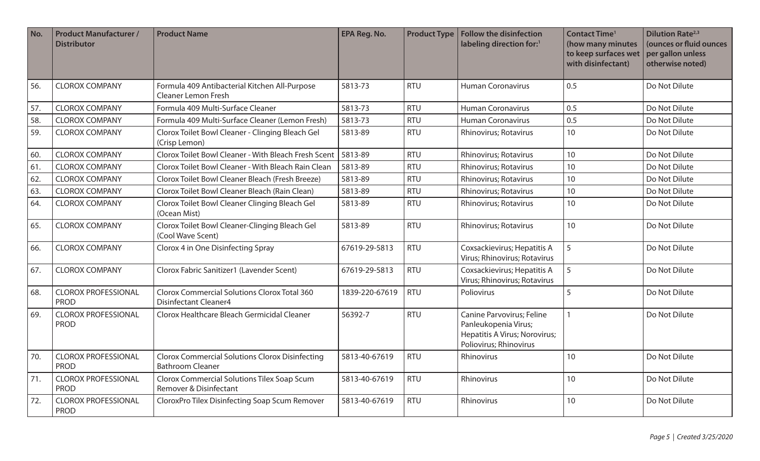| No. | <b>Product Manufacturer /</b><br><b>Distributor</b> | <b>Product Name</b>                                                                 | <b>EPA Reg. No.</b> | <b>Product Type</b> | <b>Follow the disinfection</b><br>labeling direction for:1                                                   | <b>Contact Time<sup>1</sup></b><br>(how many minutes<br>to keep surfaces wet<br>with disinfectant) | <b>Dilution Rate</b> <sup>2,3</sup><br>(ounces or fluid ounces<br>per gallon unless<br>otherwise noted) |
|-----|-----------------------------------------------------|-------------------------------------------------------------------------------------|---------------------|---------------------|--------------------------------------------------------------------------------------------------------------|----------------------------------------------------------------------------------------------------|---------------------------------------------------------------------------------------------------------|
| 56. | <b>CLOROX COMPANY</b>                               | Formula 409 Antibacterial Kitchen All-Purpose<br><b>Cleaner Lemon Fresh</b>         | 5813-73             | <b>RTU</b>          | <b>Human Coronavirus</b>                                                                                     | 0.5                                                                                                | Do Not Dilute                                                                                           |
| 57. | <b>CLOROX COMPANY</b>                               | Formula 409 Multi-Surface Cleaner                                                   | 5813-73             | <b>RTU</b>          | <b>Human Coronavirus</b>                                                                                     | 0.5                                                                                                | Do Not Dilute                                                                                           |
| 58. | <b>CLOROX COMPANY</b>                               | Formula 409 Multi-Surface Cleaner (Lemon Fresh)                                     | 5813-73             | <b>RTU</b>          | <b>Human Coronavirus</b>                                                                                     | 0.5                                                                                                | Do Not Dilute                                                                                           |
| 59. | <b>CLOROX COMPANY</b>                               | Clorox Toilet Bowl Cleaner - Clinging Bleach Gel<br>(Crisp Lemon)                   | 5813-89             | <b>RTU</b>          | <b>Rhinovirus</b> ; Rotavirus                                                                                | 10                                                                                                 | Do Not Dilute                                                                                           |
| 60. | <b>CLOROX COMPANY</b>                               | Clorox Toilet Bowl Cleaner - With Bleach Fresh Scent                                | 5813-89             | <b>RTU</b>          | Rhinovirus; Rotavirus                                                                                        | 10                                                                                                 | Do Not Dilute                                                                                           |
| 61. | <b>CLOROX COMPANY</b>                               | Clorox Toilet Bowl Cleaner - With Bleach Rain Clean                                 | 5813-89             | <b>RTU</b>          | Rhinovirus; Rotavirus                                                                                        | 10                                                                                                 | Do Not Dilute                                                                                           |
| 62. | <b>CLOROX COMPANY</b>                               | Clorox Toilet Bowl Cleaner Bleach (Fresh Breeze)                                    | 5813-89             | <b>RTU</b>          | Rhinovirus; Rotavirus                                                                                        | 10                                                                                                 | Do Not Dilute                                                                                           |
| 63. | <b>CLOROX COMPANY</b>                               | Clorox Toilet Bowl Cleaner Bleach (Rain Clean)                                      | 5813-89             | <b>RTU</b>          | Rhinovirus; Rotavirus                                                                                        | 10                                                                                                 | Do Not Dilute                                                                                           |
| 64. | <b>CLOROX COMPANY</b>                               | Clorox Toilet Bowl Cleaner Clinging Bleach Gel<br>(Ocean Mist)                      | 5813-89             | <b>RTU</b>          | Rhinovirus; Rotavirus                                                                                        | 10                                                                                                 | Do Not Dilute                                                                                           |
| 65. | <b>CLOROX COMPANY</b>                               | Clorox Toilet Bowl Cleaner-Clinging Bleach Gel<br>(Cool Wave Scent)                 | 5813-89             | <b>RTU</b>          | Rhinovirus; Rotavirus                                                                                        | 10                                                                                                 | Do Not Dilute                                                                                           |
| 66. | <b>CLOROX COMPANY</b>                               | Clorox 4 in One Disinfecting Spray                                                  | 67619-29-5813       | <b>RTU</b>          | Coxsackievirus; Hepatitis A<br>Virus; Rhinovirus; Rotavirus                                                  | 5                                                                                                  | Do Not Dilute                                                                                           |
| 67. | <b>CLOROX COMPANY</b>                               | Clorox Fabric Sanitizer1 (Lavender Scent)                                           | 67619-29-5813       | <b>RTU</b>          | Coxsackievirus; Hepatitis A<br>Virus; Rhinovirus; Rotavirus                                                  | 5                                                                                                  | Do Not Dilute                                                                                           |
| 68. | <b>CLOROX PROFESSIONAL</b><br><b>PROD</b>           | <b>Clorox Commercial Solutions Clorox Total 360</b><br><b>Disinfectant Cleaner4</b> | 1839-220-67619      | <b>RTU</b>          | Poliovirus                                                                                                   | 5                                                                                                  | Do Not Dilute                                                                                           |
| 69. | <b>CLOROX PROFESSIONAL</b><br><b>PROD</b>           | Clorox Healthcare Bleach Germicidal Cleaner                                         | 56392-7             | <b>RTU</b>          | Canine Parvovirus; Feline<br>Panleukopenia Virus;<br>Hepatitis A Virus; Norovirus;<br>Poliovirus; Rhinovirus |                                                                                                    | Do Not Dilute                                                                                           |
| 70. | <b>CLOROX PROFESSIONAL</b><br><b>PROD</b>           | <b>Clorox Commercial Solutions Clorox Disinfecting</b><br><b>Bathroom Cleaner</b>   | 5813-40-67619       | <b>RTU</b>          | Rhinovirus                                                                                                   | 10                                                                                                 | Do Not Dilute                                                                                           |
| 71. | <b>CLOROX PROFESSIONAL</b><br><b>PROD</b>           | Clorox Commercial Solutions Tilex Soap Scum<br>Remover & Disinfectant               | 5813-40-67619       | <b>RTU</b>          | Rhinovirus                                                                                                   | 10                                                                                                 | Do Not Dilute                                                                                           |
| 72. | <b>CLOROX PROFESSIONAL</b><br><b>PROD</b>           | CloroxPro Tilex Disinfecting Soap Scum Remover                                      | 5813-40-67619       | <b>RTU</b>          | Rhinovirus                                                                                                   | 10                                                                                                 | Do Not Dilute                                                                                           |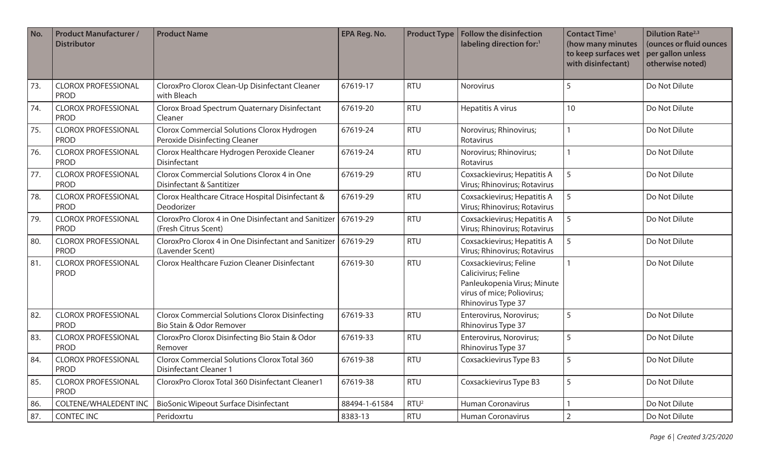| No. | <b>Product Manufacturer /</b><br><b>Distributor</b> | <b>Product Name</b>                                                                  | <b>EPA Reg. No.</b> | <b>Product Type</b> | <b>Follow the disinfection</b><br>labeling direction for:1                                                                       | <b>Contact Time<sup>1</sup></b><br>(how many minutes<br>to keep surfaces wet<br>with disinfectant) | <b>Dilution Rate</b> <sup>2,3</sup><br>(ounces or fluid ounces<br>per gallon unless<br>otherwise noted) |
|-----|-----------------------------------------------------|--------------------------------------------------------------------------------------|---------------------|---------------------|----------------------------------------------------------------------------------------------------------------------------------|----------------------------------------------------------------------------------------------------|---------------------------------------------------------------------------------------------------------|
| 73. | <b>CLOROX PROFESSIONAL</b><br><b>PROD</b>           | CloroxPro Clorox Clean-Up Disinfectant Cleaner<br>with Bleach                        | 67619-17            | <b>RTU</b>          | Norovirus                                                                                                                        | 5                                                                                                  | Do Not Dilute                                                                                           |
| 74. | <b>CLOROX PROFESSIONAL</b><br><b>PROD</b>           | Clorox Broad Spectrum Quaternary Disinfectant<br>Cleaner                             | 67619-20            | <b>RTU</b>          | Hepatitis A virus                                                                                                                | 10                                                                                                 | Do Not Dilute                                                                                           |
| 75. | <b>CLOROX PROFESSIONAL</b><br><b>PROD</b>           | Clorox Commercial Solutions Clorox Hydrogen<br>Peroxide Disinfecting Cleaner         | 67619-24            | <b>RTU</b>          | Norovirus; Rhinovirus;<br>Rotavirus                                                                                              |                                                                                                    | Do Not Dilute                                                                                           |
| 76. | <b>CLOROX PROFESSIONAL</b><br><b>PROD</b>           | Clorox Healthcare Hydrogen Peroxide Cleaner<br>Disinfectant                          | 67619-24            | <b>RTU</b>          | Norovirus; Rhinovirus;<br>Rotavirus                                                                                              |                                                                                                    | Do Not Dilute                                                                                           |
| 77. | <b>CLOROX PROFESSIONAL</b><br><b>PROD</b>           | Clorox Commercial Solutions Clorox 4 in One<br>Disinfectant & Santitizer             | 67619-29            | <b>RTU</b>          | Coxsackievirus; Hepatitis A<br>Virus; Rhinovirus; Rotavirus                                                                      | 5                                                                                                  | Do Not Dilute                                                                                           |
| 78. | <b>CLOROX PROFESSIONAL</b><br><b>PROD</b>           | Clorox Healthcare Citrace Hospital Disinfectant &<br>Deodorizer                      | 67619-29            | <b>RTU</b>          | Coxsackievirus; Hepatitis A<br>Virus; Rhinovirus; Rotavirus                                                                      | 5                                                                                                  | Do Not Dilute                                                                                           |
| 79. | <b>CLOROX PROFESSIONAL</b><br><b>PROD</b>           | CloroxPro Clorox 4 in One Disinfectant and Sanitizer<br>(Fresh Citrus Scent)         | 67619-29            | <b>RTU</b>          | Coxsackievirus; Hepatitis A<br>Virus; Rhinovirus; Rotavirus                                                                      | 5                                                                                                  | Do Not Dilute                                                                                           |
| 80. | <b>CLOROX PROFESSIONAL</b><br><b>PROD</b>           | CloroxPro Clorox 4 in One Disinfectant and Sanitizer<br>(Lavender Scent)             | 67619-29            | <b>RTU</b>          | Coxsackievirus; Hepatitis A<br>Virus; Rhinovirus; Rotavirus                                                                      | 5                                                                                                  | Do Not Dilute                                                                                           |
| 81. | <b>CLOROX PROFESSIONAL</b><br><b>PROD</b>           | <b>Clorox Healthcare Fuzion Cleaner Disinfectant</b>                                 | 67619-30            | <b>RTU</b>          | Coxsackievirus; Feline<br>Calicivirus; Feline<br>Panleukopenia Virus; Minute<br>virus of mice; Poliovirus;<br>Rhinovirus Type 37 |                                                                                                    | Do Not Dilute                                                                                           |
| 82. | <b>CLOROX PROFESSIONAL</b><br><b>PROD</b>           | <b>Clorox Commercial Solutions Clorox Disinfecting</b><br>Bio Stain & Odor Remover   | 67619-33            | <b>RTU</b>          | Enterovirus, Norovirus;<br>Rhinovirus Type 37                                                                                    | 5                                                                                                  | Do Not Dilute                                                                                           |
| 83. | <b>CLOROX PROFESSIONAL</b><br><b>PROD</b>           | CloroxPro Clorox Disinfecting Bio Stain & Odor<br>Remover                            | 67619-33            | <b>RTU</b>          | Enterovirus, Norovirus;<br>Rhinovirus Type 37                                                                                    | 5                                                                                                  | Do Not Dilute                                                                                           |
| 84. | <b>CLOROX PROFESSIONAL</b><br><b>PROD</b>           | <b>Clorox Commercial Solutions Clorox Total 360</b><br><b>Disinfectant Cleaner 1</b> | 67619-38            | <b>RTU</b>          | Coxsackievirus Type B3                                                                                                           | 5                                                                                                  | Do Not Dilute                                                                                           |
| 85. | <b>CLOROX PROFESSIONAL</b><br><b>PROD</b>           | CloroxPro Clorox Total 360 Disinfectant Cleaner1                                     | 67619-38            | <b>RTU</b>          | Coxsackievirus Type B3                                                                                                           | 5                                                                                                  | Do Not Dilute                                                                                           |
| 86. | <b>COLTENE/WHALEDENT INC</b>                        | <b>BioSonic Wipeout Surface Disinfectant</b>                                         | 88494-1-61584       | RTU <sup>2</sup>    | Human Coronavirus                                                                                                                |                                                                                                    | Do Not Dilute                                                                                           |
| 87. | <b>CONTEC INC</b>                                   | Peridoxrtu                                                                           | 8383-13             | <b>RTU</b>          | Human Coronavirus                                                                                                                | $\overline{2}$                                                                                     | Do Not Dilute                                                                                           |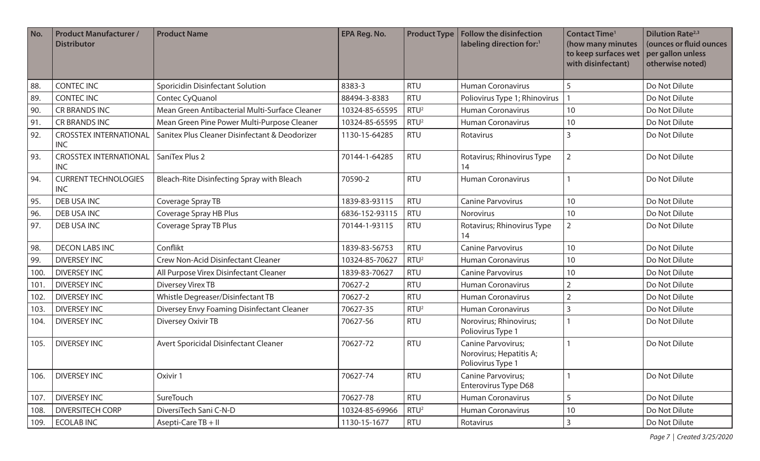| No.  | <b>Product Manufacturer /</b><br><b>Distributor</b> | <b>Product Name</b>                            | <b>EPA Reg. No.</b> | <b>Product Type</b> | <b>Follow the disinfection</b><br>labeling direction for:1         | <b>Contact Time<sup>1</sup></b><br>(how many minutes<br>to keep surfaces wet<br>with disinfectant) | <b>Dilution Rate</b> <sup>2,3</sup><br>(ounces or fluid ounces<br>per gallon unless<br>otherwise noted) |
|------|-----------------------------------------------------|------------------------------------------------|---------------------|---------------------|--------------------------------------------------------------------|----------------------------------------------------------------------------------------------------|---------------------------------------------------------------------------------------------------------|
| 88.  | <b>CONTEC INC</b>                                   | <b>Sporicidin Disinfectant Solution</b>        | 8383-3              | <b>RTU</b>          | <b>Human Coronavirus</b>                                           | 5                                                                                                  | Do Not Dilute                                                                                           |
| 89.  | <b>CONTEC INC</b>                                   | Contec CyQuanol                                | 88494-3-8383        | <b>RTU</b>          | Poliovirus Type 1; Rhinovirus                                      |                                                                                                    | Do Not Dilute                                                                                           |
| 90.  | <b>CR BRANDS INC</b>                                | Mean Green Antibacterial Multi-Surface Cleaner | 10324-85-65595      | RTU <sup>2</sup>    | <b>Human Coronavirus</b>                                           | 10                                                                                                 | Do Not Dilute                                                                                           |
| 91.  | <b>CR BRANDS INC</b>                                | Mean Green Pine Power Multi-Purpose Cleaner    | 10324-85-65595      | RTU <sup>2</sup>    | <b>Human Coronavirus</b>                                           | 10                                                                                                 | Do Not Dilute                                                                                           |
| 92.  | <b>CROSSTEX INTERNATIONAL</b><br><b>INC</b>         | Sanitex Plus Cleaner Disinfectant & Deodorizer | 1130-15-64285       | <b>RTU</b>          | Rotavirus                                                          | 3                                                                                                  | Do Not Dilute                                                                                           |
| 93.  | <b>CROSSTEX INTERNATIONAL</b><br><b>INC</b>         | SaniTex Plus 2                                 | 70144-1-64285       | <b>RTU</b>          | Rotavirus; Rhinovirus Type<br>14                                   | $\overline{2}$                                                                                     | Do Not Dilute                                                                                           |
| 94.  | <b>CURRENT TECHNOLOGIES</b><br><b>INC</b>           | Bleach-Rite Disinfecting Spray with Bleach     | 70590-2             | <b>RTU</b>          | Human Coronavirus                                                  |                                                                                                    | Do Not Dilute                                                                                           |
| 95.  | <b>DEB USA INC</b>                                  | Coverage Spray TB                              | 1839-83-93115       | <b>RTU</b>          | <b>Canine Parvovirus</b>                                           | 10                                                                                                 | Do Not Dilute                                                                                           |
| 96.  | DEB USA INC                                         | Coverage Spray HB Plus                         | 6836-152-93115      | <b>RTU</b>          | Norovirus                                                          | 10                                                                                                 | Do Not Dilute                                                                                           |
| 97.  | DEB USA INC                                         | Coverage Spray TB Plus                         | 70144-1-93115       | <b>RTU</b>          | Rotavirus; Rhinovirus Type<br>14                                   | $\overline{2}$                                                                                     | Do Not Dilute                                                                                           |
| 98.  | <b>DECON LABS INC</b>                               | Conflikt                                       | 1839-83-56753       | <b>RTU</b>          | <b>Canine Parvovirus</b>                                           | 10                                                                                                 | Do Not Dilute                                                                                           |
| 99.  | <b>DIVERSEY INC</b>                                 | <b>Crew Non-Acid Disinfectant Cleaner</b>      | 10324-85-70627      | RTU <sup>2</sup>    | <b>Human Coronavirus</b>                                           | 10                                                                                                 | Do Not Dilute                                                                                           |
| 100. | <b>DIVERSEY INC</b>                                 | All Purpose Virex Disinfectant Cleaner         | 1839-83-70627       | <b>RTU</b>          | <b>Canine Parvovirus</b>                                           | 10                                                                                                 | Do Not Dilute                                                                                           |
| 101. | <b>DIVERSEY INC</b>                                 | <b>Diversey Virex TB</b>                       | 70627-2             | <b>RTU</b>          | <b>Human Coronavirus</b>                                           | $\overline{2}$                                                                                     | Do Not Dilute                                                                                           |
| 102. | <b>DIVERSEY INC</b>                                 | Whistle Degreaser/Disinfectant TB              | 70627-2             | <b>RTU</b>          | <b>Human Coronavirus</b>                                           | $\overline{2}$                                                                                     | Do Not Dilute                                                                                           |
| 103. | <b>DIVERSEY INC</b>                                 | Diversey Envy Foaming Disinfectant Cleaner     | 70627-35            | RTU <sup>2</sup>    | <b>Human Coronavirus</b>                                           | 3                                                                                                  | Do Not Dilute                                                                                           |
| 104. | <b>DIVERSEY INC</b>                                 | Diversey Oxivir TB                             | 70627-56            | <b>RTU</b>          | Norovirus; Rhinovirus;<br>Poliovirus Type 1                        |                                                                                                    | Do Not Dilute                                                                                           |
| 105. | <b>DIVERSEY INC</b>                                 | Avert Sporicidal Disinfectant Cleaner          | 70627-72            | <b>RTU</b>          | Canine Parvovirus;<br>Norovirus; Hepatitis A;<br>Poliovirus Type 1 |                                                                                                    | Do Not Dilute                                                                                           |
| 106. | <b>DIVERSEY INC</b>                                 | Oxivir 1                                       | 70627-74            | <b>RTU</b>          | <b>Canine Parvovirus;</b><br><b>Enterovirus Type D68</b>           |                                                                                                    | Do Not Dilute                                                                                           |
| 107. | <b>DIVERSEY INC</b>                                 | SureTouch                                      | 70627-78            | <b>RTU</b>          | Human Coronavirus                                                  | 5                                                                                                  | Do Not Dilute                                                                                           |
| 108. | <b>DIVERSITECH CORP</b>                             | DiversiTech Sani C-N-D                         | 10324-85-69966      | RTU <sup>2</sup>    | <b>Human Coronavirus</b>                                           | 10                                                                                                 | Do Not Dilute                                                                                           |
| 109. | <b>ECOLABINC</b>                                    | Asepti-Care TB + II                            | 1130-15-1677        | RTU                 | Rotavirus                                                          | $\mathsf{3}$                                                                                       | Do Not Dilute                                                                                           |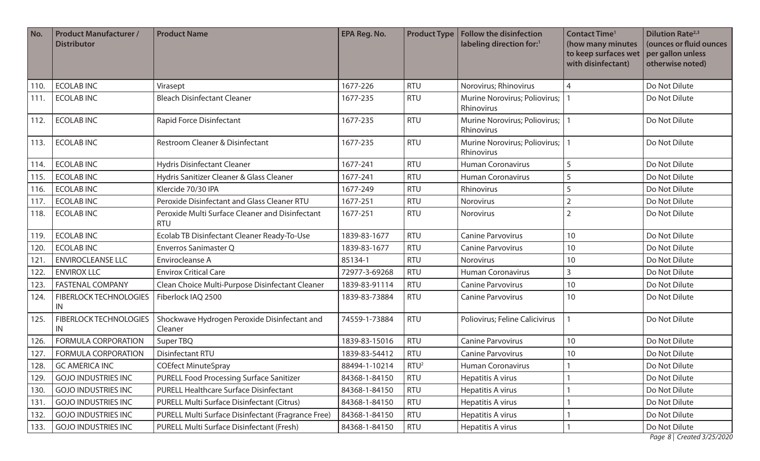| No.  | <b>Product Manufacturer /</b><br><b>Distributor</b> | <b>Product Name</b>                                           | <b>EPA Reg. No.</b> |                  | <b>Product Type   Follow the disinfection</b><br>labeling direction for:1 | <b>Contact Time<sup>1</sup></b><br>(how many minutes<br>to keep surfaces wet<br>with disinfectant) | <b>Dilution Rate</b> <sup>2,3</sup><br>(ounces or fluid ounces<br>per gallon unless<br>otherwise noted) |
|------|-----------------------------------------------------|---------------------------------------------------------------|---------------------|------------------|---------------------------------------------------------------------------|----------------------------------------------------------------------------------------------------|---------------------------------------------------------------------------------------------------------|
| 110. | <b>ECOLABINC</b>                                    | Virasept                                                      | 1677-226            | <b>RTU</b>       | Norovirus; Rhinovirus                                                     | 4                                                                                                  | Do Not Dilute                                                                                           |
| 111. | <b>ECOLABINC</b>                                    | <b>Bleach Disinfectant Cleaner</b>                            | 1677-235            | <b>RTU</b>       | Murine Norovirus; Poliovirus;<br>Rhinovirus                               |                                                                                                    | Do Not Dilute                                                                                           |
| 112. | <b>ECOLABINC</b>                                    | Rapid Force Disinfectant                                      | 1677-235            | <b>RTU</b>       | Murine Norovirus; Poliovirus;<br>Rhinovirus                               |                                                                                                    | Do Not Dilute                                                                                           |
| 113. | <b>ECOLAB INC</b>                                   | Restroom Cleaner & Disinfectant                               | 1677-235            | <b>RTU</b>       | Murine Norovirus; Poliovirus;<br>Rhinovirus                               |                                                                                                    | Do Not Dilute                                                                                           |
| 114. | <b>ECOLAB INC</b>                                   | <b>Hydris Disinfectant Cleaner</b>                            | 1677-241            | <b>RTU</b>       | <b>Human Coronavirus</b>                                                  | 5                                                                                                  | Do Not Dilute                                                                                           |
| 115. | <b>ECOLAB INC</b>                                   | Hydris Sanitizer Cleaner & Glass Cleaner                      | 1677-241            | <b>RTU</b>       | <b>Human Coronavirus</b>                                                  |                                                                                                    | Do Not Dilute                                                                                           |
| 116. | <b>ECOLAB INC</b>                                   | Klercide 70/30 IPA                                            | 1677-249            | <b>RTU</b>       | Rhinovirus                                                                |                                                                                                    | Do Not Dilute                                                                                           |
| 117. | <b>ECOLABINC</b>                                    | Peroxide Disinfectant and Glass Cleaner RTU                   | 1677-251            | <b>RTU</b>       | Norovirus                                                                 |                                                                                                    | Do Not Dilute                                                                                           |
| 118. | <b>ECOLABINC</b>                                    | Peroxide Multi Surface Cleaner and Disinfectant<br><b>RTU</b> | 1677-251            | <b>RTU</b>       | Norovirus                                                                 |                                                                                                    | Do Not Dilute                                                                                           |
| 119. | <b>ECOLABINC</b>                                    | Ecolab TB Disinfectant Cleaner Ready-To-Use                   | 1839-83-1677        | <b>RTU</b>       | <b>Canine Parvovirus</b>                                                  | 10                                                                                                 | Do Not Dilute                                                                                           |
| 120. | <b>ECOLABINC</b>                                    | <b>Enverros Sanimaster Q</b>                                  | 1839-83-1677        | <b>RTU</b>       | <b>Canine Parvovirus</b>                                                  | 10                                                                                                 | Do Not Dilute                                                                                           |
| 121. | <b>ENVIROCLEANSE LLC</b>                            | Envirocleanse A                                               | 85134-1             | <b>RTU</b>       | Norovirus                                                                 | 10                                                                                                 | Do Not Dilute                                                                                           |
| 122. | <b>ENVIROX LLC</b>                                  | <b>Envirox Critical Care</b>                                  | 72977-3-69268       | <b>RTU</b>       | <b>Human Coronavirus</b>                                                  | $\overline{3}$                                                                                     | Do Not Dilute                                                                                           |
| 123. | <b>FASTENAL COMPANY</b>                             | Clean Choice Multi-Purpose Disinfectant Cleaner               | 1839-83-91114       | <b>RTU</b>       | <b>Canine Parvovirus</b>                                                  | 10                                                                                                 | Do Not Dilute                                                                                           |
| 124. | <b>FIBERLOCK TECHNOLOGIES</b><br>IN                 | Fiberlock IAQ 2500                                            | 1839-83-73884       | <b>RTU</b>       | <b>Canine Parvovirus</b>                                                  | 10                                                                                                 | Do Not Dilute                                                                                           |
| 125. | <b>FIBERLOCK TECHNOLOGIES</b><br>IN                 | Shockwave Hydrogen Peroxide Disinfectant and<br>Cleaner       | 74559-1-73884       | <b>RTU</b>       | Poliovirus; Feline Calicivirus                                            |                                                                                                    | Do Not Dilute                                                                                           |
| 126. | <b>FORMULA CORPORATION</b>                          | Super TBQ                                                     | 1839-83-15016       | <b>RTU</b>       | <b>Canine Parvovirus</b>                                                  | 10                                                                                                 | Do Not Dilute                                                                                           |
| 127. | <b>FORMULA CORPORATION</b>                          | Disinfectant RTU                                              | 1839-83-54412       | <b>RTU</b>       | <b>Canine Parvovirus</b>                                                  | 10                                                                                                 | Do Not Dilute                                                                                           |
| 128. | <b>GC AMERICA INC</b>                               | <b>COEfect MinuteSpray</b>                                    | 88494-1-10214       | RTU <sup>2</sup> | Human Coronavirus                                                         |                                                                                                    | Do Not Dilute                                                                                           |
| 129. | <b>GOJO INDUSTRIES INC</b>                          | PURELL Food Processing Surface Sanitizer                      | 84368-1-84150       | <b>RTU</b>       | Hepatitis A virus                                                         |                                                                                                    | Do Not Dilute                                                                                           |
| 130. | <b>GOJO INDUSTRIES INC</b>                          | PURELL Healthcare Surface Disinfectant                        | 84368-1-84150       | <b>RTU</b>       | Hepatitis A virus                                                         |                                                                                                    | Do Not Dilute                                                                                           |
| 131. | <b>GOJO INDUSTRIES INC</b>                          | PURELL Multi Surface Disinfectant (Citrus)                    | 84368-1-84150       | <b>RTU</b>       | Hepatitis A virus                                                         |                                                                                                    | Do Not Dilute                                                                                           |
| 132. | <b>GOJO INDUSTRIES INC</b>                          | PURELL Multi Surface Disinfectant (Fragrance Free)            | 84368-1-84150       | <b>RTU</b>       | Hepatitis A virus                                                         |                                                                                                    | Do Not Dilute                                                                                           |
| 133. | <b>GOJO INDUSTRIES INC</b>                          | PURELL Multi Surface Disinfectant (Fresh)                     | 84368-1-84150       | <b>RTU</b>       | Hepatitis A virus                                                         |                                                                                                    | Do Not Dilute                                                                                           |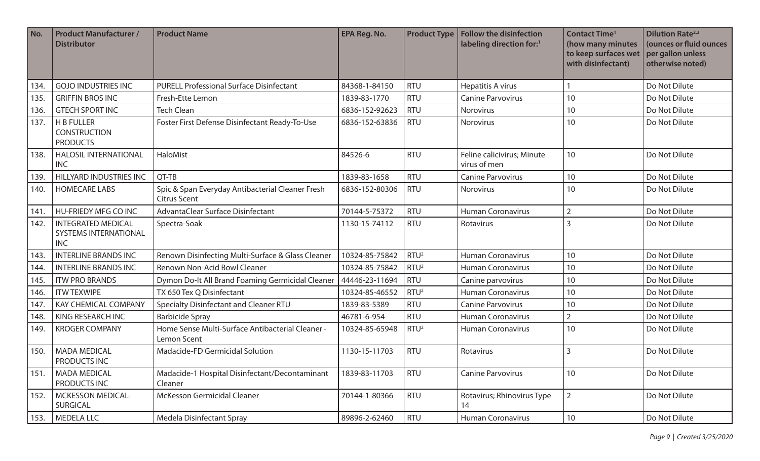| No.  | <b>Product Manufacturer /</b><br><b>Distributor</b>              | <b>Product Name</b>                                                     | <b>EPA Reg. No.</b> | <b>Product Type</b> | Follow the disinfection<br>labeling direction for:1 | <b>Contact Time<sup>1</sup></b><br>(how many minutes<br>to keep surfaces wet<br>with disinfectant) | <b>Dilution Rate</b> <sup>2,3</sup><br>(ounces or fluid ounces<br>per gallon unless<br>otherwise noted) |
|------|------------------------------------------------------------------|-------------------------------------------------------------------------|---------------------|---------------------|-----------------------------------------------------|----------------------------------------------------------------------------------------------------|---------------------------------------------------------------------------------------------------------|
| 134. | <b>GOJO INDUSTRIES INC</b>                                       | <b>PURELL Professional Surface Disinfectant</b>                         | 84368-1-84150       | <b>RTU</b>          | Hepatitis A virus                                   |                                                                                                    | Do Not Dilute                                                                                           |
| 135. | <b>GRIFFIN BROS INC</b>                                          | Fresh-Ette Lemon                                                        | 1839-83-1770        | <b>RTU</b>          | <b>Canine Parvovirus</b>                            | 10                                                                                                 | Do Not Dilute                                                                                           |
| 136. | <b>GTECH SPORT INC</b>                                           | <b>Tech Clean</b>                                                       | 6836-152-92623      | <b>RTU</b>          | Norovirus                                           | 10                                                                                                 | Do Not Dilute                                                                                           |
| 137. | <b>H B FULLER</b><br><b>CONSTRUCTION</b><br><b>PRODUCTS</b>      | Foster First Defense Disinfectant Ready-To-Use                          | 6836-152-63836      | <b>RTU</b>          | <b>Norovirus</b>                                    | 10                                                                                                 | Do Not Dilute                                                                                           |
| 138. | <b>HALOSIL INTERNATIONAL</b><br><b>INC</b>                       | HaloMist                                                                | 84526-6             | <b>RTU</b>          | Feline calicivirus; Minute<br>virus of men          | 10                                                                                                 | Do Not Dilute                                                                                           |
| 139. | <b>HILLYARD INDUSTRIES INC</b>                                   | QT-TB                                                                   | 1839-83-1658        | <b>RTU</b>          | <b>Canine Parvovirus</b>                            | 10                                                                                                 | Do Not Dilute                                                                                           |
| 140. | <b>HOMECARE LABS</b>                                             | Spic & Span Everyday Antibacterial Cleaner Fresh<br><b>Citrus Scent</b> | 6836-152-80306      | <b>RTU</b>          | Norovirus                                           | 10                                                                                                 | Do Not Dilute                                                                                           |
| 141. | <b>HU-FRIEDY MFG CO INC</b>                                      | AdvantaClear Surface Disinfectant                                       | 70144-5-75372       | <b>RTU</b>          | <b>Human Coronavirus</b>                            | $\overline{2}$                                                                                     | Do Not Dilute                                                                                           |
| 142. | <b>INTEGRATED MEDICAL</b><br>SYSTEMS INTERNATIONAL<br><b>INC</b> | Spectra-Soak                                                            | 1130-15-74112       | <b>RTU</b>          | Rotavirus                                           | 3                                                                                                  | Do Not Dilute                                                                                           |
| 143. | <b>INTERLINE BRANDS INC</b>                                      | Renown Disinfecting Multi-Surface & Glass Cleaner                       | 10324-85-75842      | RTU <sup>2</sup>    | <b>Human Coronavirus</b>                            | 10                                                                                                 | Do Not Dilute                                                                                           |
| 144. | <b>INTERLINE BRANDS INC</b>                                      | Renown Non-Acid Bowl Cleaner                                            | 10324-85-75842      | RTU <sup>2</sup>    | <b>Human Coronavirus</b>                            | 10                                                                                                 | Do Not Dilute                                                                                           |
| 145. | <b>ITW PRO BRANDS</b>                                            | Dymon Do-It All Brand Foaming Germicidal Cleaner                        | 44446-23-11694      | <b>RTU</b>          | Canine parvovirus                                   | 10                                                                                                 | Do Not Dilute                                                                                           |
| 146. | <b>ITW TEXWIPE</b>                                               | TX 650 Tex Q Disinfectant                                               | 10324-85-46552      | RTU <sup>2</sup>    | <b>Human Coronavirus</b>                            | 10                                                                                                 | Do Not Dilute                                                                                           |
| 147. | <b>KAY CHEMICAL COMPANY</b>                                      | Specialty Disinfectant and Cleaner RTU                                  | 1839-83-5389        | <b>RTU</b>          | <b>Canine Parvovirus</b>                            | 10                                                                                                 | Do Not Dilute                                                                                           |
| 148. | KING RESEARCH INC                                                | <b>Barbicide Spray</b>                                                  | 46781-6-954         | <b>RTU</b>          | <b>Human Coronavirus</b>                            | $\overline{2}$                                                                                     | Do Not Dilute                                                                                           |
| 149. | <b>KROGER COMPANY</b>                                            | Home Sense Multi-Surface Antibacterial Cleaner -<br>Lemon Scent         | 10324-85-65948      | RTU <sup>2</sup>    | <b>Human Coronavirus</b>                            | 10                                                                                                 | Do Not Dilute                                                                                           |
| 150. | <b>MADA MEDICAL</b><br>PRODUCTS INC                              | Madacide-FD Germicidal Solution                                         | 1130-15-11703       | <b>RTU</b>          | Rotavirus                                           | 3                                                                                                  | Do Not Dilute                                                                                           |
| 151. | <b>MADA MEDICAL</b><br>PRODUCTS INC                              | Madacide-1 Hospital Disinfectant/Decontaminant<br>Cleaner               | 1839-83-11703       | <b>RTU</b>          | <b>Canine Parvovirus</b>                            | 10                                                                                                 | Do Not Dilute                                                                                           |
| 152. | <b>MCKESSON MEDICAL-</b><br><b>SURGICAL</b>                      | McKesson Germicidal Cleaner                                             | 70144-1-80366       | <b>RTU</b>          | Rotavirus; Rhinovirus Type<br>14                    | $\overline{2}$                                                                                     | Do Not Dilute                                                                                           |
| 153. | <b>MEDELA LLC</b>                                                | Medela Disinfectant Spray                                               | 89896-2-62460       | <b>RTU</b>          | Human Coronavirus                                   | 10                                                                                                 | Do Not Dilute                                                                                           |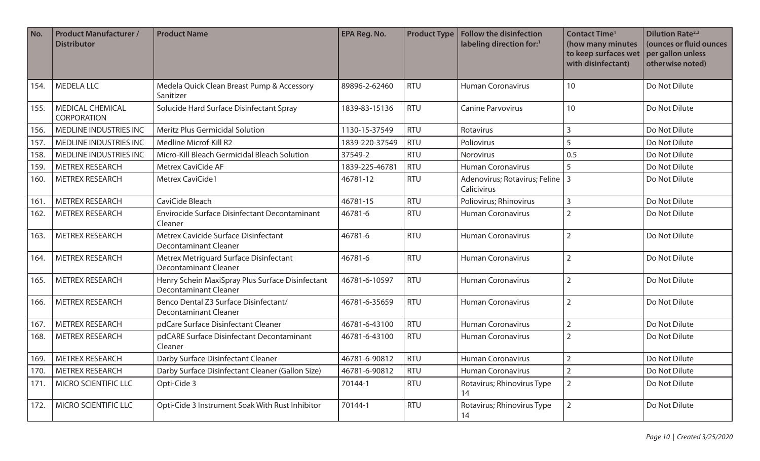| No.  | <b>Product Manufacturer /</b><br><b>Distributor</b> | <b>Product Name</b>                                                              | <b>EPA Reg. No.</b> | <b>Product Type</b> | <b>Follow the disinfection</b><br>labeling direction for:1 | <b>Contact Time<sup>1</sup></b><br>(how many minutes<br>to keep surfaces wet<br>with disinfectant) | <b>Dilution Rate</b> <sup>2,3</sup><br>(ounces or fluid ounces<br>per gallon unless<br>otherwise noted) |
|------|-----------------------------------------------------|----------------------------------------------------------------------------------|---------------------|---------------------|------------------------------------------------------------|----------------------------------------------------------------------------------------------------|---------------------------------------------------------------------------------------------------------|
| 154. | <b>MEDELA LLC</b>                                   | Medela Quick Clean Breast Pump & Accessory<br>Sanitizer                          | 89896-2-62460       | <b>RTU</b>          | <b>Human Coronavirus</b>                                   | 10                                                                                                 | Do Not Dilute                                                                                           |
| 155. | <b>MEDICAL CHEMICAL</b><br><b>CORPORATION</b>       | Solucide Hard Surface Disinfectant Spray                                         | 1839-83-15136       | <b>RTU</b>          | <b>Canine Parvovirus</b>                                   | 10                                                                                                 | Do Not Dilute                                                                                           |
| 156. | MEDLINE INDUSTRIES INC                              | <b>Meritz Plus Germicidal Solution</b>                                           | 1130-15-37549       | <b>RTU</b>          | Rotavirus                                                  | $\overline{3}$                                                                                     | Do Not Dilute                                                                                           |
| 157. | MEDLINE INDUSTRIES INC                              | Medline Microf-Kill R2                                                           | 1839-220-37549      | <b>RTU</b>          | Poliovirus                                                 | 5                                                                                                  | Do Not Dilute                                                                                           |
| 158. | <b>MEDLINE INDUSTRIES INC</b>                       | Micro-Kill Bleach Germicidal Bleach Solution                                     | 37549-2             | <b>RTU</b>          | Norovirus                                                  | 0.5                                                                                                | Do Not Dilute                                                                                           |
| 159. | <b>METREX RESEARCH</b>                              | <b>Metrex CaviCide AF</b>                                                        | 1839-225-46781      | <b>RTU</b>          | <b>Human Coronavirus</b>                                   | 5                                                                                                  | Do Not Dilute                                                                                           |
| 160. | <b>METREX RESEARCH</b>                              | Metrex CaviCide1                                                                 | 46781-12            | <b>RTU</b>          | Adenovirus; Rotavirus; Feline   3<br>Calicivirus           |                                                                                                    | Do Not Dilute                                                                                           |
| 161. | <b>METREX RESEARCH</b>                              | CaviCide Bleach                                                                  | 46781-15            | <b>RTU</b>          | Poliovirus; Rhinovirus                                     | $\overline{3}$                                                                                     | Do Not Dilute                                                                                           |
| 162. | <b>METREX RESEARCH</b>                              | Envirocide Surface Disinfectant Decontaminant<br>Cleaner                         | 46781-6             | <b>RTU</b>          | Human Coronavirus                                          | $\overline{2}$                                                                                     | Do Not Dilute                                                                                           |
| 163. | <b>METREX RESEARCH</b>                              | Metrex Cavicide Surface Disinfectant<br><b>Decontaminant Cleaner</b>             | 46781-6             | <b>RTU</b>          | <b>Human Coronavirus</b>                                   | $\overline{2}$                                                                                     | Do Not Dilute                                                                                           |
| 164. | <b>METREX RESEARCH</b>                              | Metrex Metriguard Surface Disinfectant<br><b>Decontaminant Cleaner</b>           | 46781-6             | <b>RTU</b>          | <b>Human Coronavirus</b>                                   | $\overline{2}$                                                                                     | Do Not Dilute                                                                                           |
| 165. | <b>METREX RESEARCH</b>                              | Henry Schein MaxiSpray Plus Surface Disinfectant<br><b>Decontaminant Cleaner</b> | 46781-6-10597       | <b>RTU</b>          | <b>Human Coronavirus</b>                                   | $\overline{2}$                                                                                     | Do Not Dilute                                                                                           |
| 166. | <b>METREX RESEARCH</b>                              | Benco Dental Z3 Surface Disinfectant/<br>Decontaminant Cleaner                   | 46781-6-35659       | <b>RTU</b>          | <b>Human Coronavirus</b>                                   | $\overline{2}$                                                                                     | Do Not Dilute                                                                                           |
| 167. | <b>METREX RESEARCH</b>                              | pdCare Surface Disinfectant Cleaner                                              | 46781-6-43100       | <b>RTU</b>          | <b>Human Coronavirus</b>                                   | $\overline{2}$                                                                                     | Do Not Dilute                                                                                           |
| 168. | <b>METREX RESEARCH</b>                              | pdCARE Surface Disinfectant Decontaminant<br>Cleaner                             | 46781-6-43100       | <b>RTU</b>          | <b>Human Coronavirus</b>                                   | $\overline{2}$                                                                                     | Do Not Dilute                                                                                           |
| 169. | <b>METREX RESEARCH</b>                              | Darby Surface Disinfectant Cleaner                                               | 46781-6-90812       | <b>RTU</b>          | <b>Human Coronavirus</b>                                   | $\overline{2}$                                                                                     | Do Not Dilute                                                                                           |
| 170. | <b>METREX RESEARCH</b>                              | Darby Surface Disinfectant Cleaner (Gallon Size)                                 | 46781-6-90812       | <b>RTU</b>          | <b>Human Coronavirus</b>                                   | $\overline{2}$                                                                                     | Do Not Dilute                                                                                           |
| 171. | <b>MICRO SCIENTIFIC LLC</b>                         | Opti-Cide 3                                                                      | 70144-1             | <b>RTU</b>          | Rotavirus; Rhinovirus Type<br>14                           | $\overline{2}$                                                                                     | Do Not Dilute                                                                                           |
| 172. | MICRO SCIENTIFIC LLC                                | Opti-Cide 3 Instrument Soak With Rust Inhibitor                                  | 70144-1             | <b>RTU</b>          | Rotavirus; Rhinovirus Type<br>14                           | $\overline{2}$                                                                                     | Do Not Dilute                                                                                           |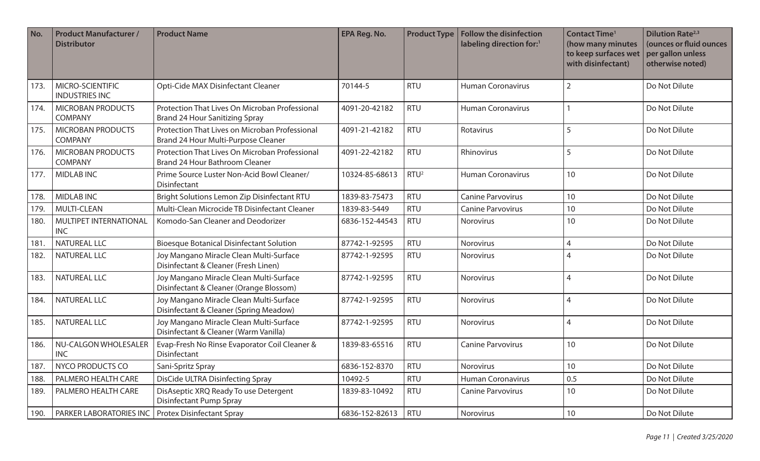| No.  | <b>Product Manufacturer /</b><br><b>Distributor</b> | <b>Product Name</b>                                                                     | <b>EPA Reg. No.</b> | <b>Product Type</b> | <b>Follow the disinfection</b><br>labeling direction for:1 | <b>Contact Time<sup>1</sup></b><br>(how many minutes<br>to keep surfaces wet<br>with disinfectant) | <b>Dilution Rate</b> <sup>2,3</sup><br>(ounces or fluid ounces<br>per gallon unless<br>otherwise noted) |
|------|-----------------------------------------------------|-----------------------------------------------------------------------------------------|---------------------|---------------------|------------------------------------------------------------|----------------------------------------------------------------------------------------------------|---------------------------------------------------------------------------------------------------------|
| 173. | MICRO-SCIENTIFIC<br><b>INDUSTRIES INC</b>           | Opti-Cide MAX Disinfectant Cleaner                                                      | 70144-5             | <b>RTU</b>          | <b>Human Coronavirus</b>                                   | $\overline{2}$                                                                                     | Do Not Dilute                                                                                           |
| 174. | <b>MICROBAN PRODUCTS</b><br><b>COMPANY</b>          | Protection That Lives On Microban Professional<br>Brand 24 Hour Sanitizing Spray        | 4091-20-42182       | <b>RTU</b>          | <b>Human Coronavirus</b>                                   |                                                                                                    | Do Not Dilute                                                                                           |
| 175. | <b>MICROBAN PRODUCTS</b><br><b>COMPANY</b>          | Protection That Lives on Microban Professional<br>Brand 24 Hour Multi-Purpose Cleaner   | 4091-21-42182       | <b>RTU</b>          | Rotavirus                                                  | 5                                                                                                  | Do Not Dilute                                                                                           |
| 176. | <b>MICROBAN PRODUCTS</b><br><b>COMPANY</b>          | Protection That Lives On Microban Professional<br><b>Brand 24 Hour Bathroom Cleaner</b> | 4091-22-42182       | <b>RTU</b>          | Rhinovirus                                                 | 5                                                                                                  | Do Not Dilute                                                                                           |
| 177. | <b>MIDLAB INC</b>                                   | Prime Source Luster Non-Acid Bowl Cleaner/<br>Disinfectant                              | 10324-85-68613      | RTU <sup>2</sup>    | <b>Human Coronavirus</b>                                   | 10                                                                                                 | Do Not Dilute                                                                                           |
| 178. | <b>MIDLAB INC</b>                                   | Bright Solutions Lemon Zip Disinfectant RTU                                             | 1839-83-75473       | <b>RTU</b>          | <b>Canine Parvovirus</b>                                   | 10                                                                                                 | Do Not Dilute                                                                                           |
| 179. | <b>MULTI-CLEAN</b>                                  | Multi-Clean Microcide TB Disinfectant Cleaner                                           | 1839-83-5449        | <b>RTU</b>          | <b>Canine Parvovirus</b>                                   | 10                                                                                                 | Do Not Dilute                                                                                           |
| 180. | MULTIPET INTERNATIONAL<br><b>INC</b>                | Komodo-San Cleaner and Deodorizer                                                       | 6836-152-44543      | <b>RTU</b>          | <b>Norovirus</b>                                           | 10                                                                                                 | Do Not Dilute                                                                                           |
| 181. | <b>NATUREAL LLC</b>                                 | <b>Bioesque Botanical Disinfectant Solution</b>                                         | 87742-1-92595       | <b>RTU</b>          | <b>Norovirus</b>                                           | 4                                                                                                  | Do Not Dilute                                                                                           |
| 182. | <b>NATUREAL LLC</b>                                 | Joy Mangano Miracle Clean Multi-Surface<br>Disinfectant & Cleaner (Fresh Linen)         | 87742-1-92595       | <b>RTU</b>          | Norovirus                                                  | 4                                                                                                  | Do Not Dilute                                                                                           |
| 183. | <b>NATUREAL LLC</b>                                 | Joy Mangano Miracle Clean Multi-Surface<br>Disinfectant & Cleaner (Orange Blossom)      | 87742-1-92595       | <b>RTU</b>          | Norovirus                                                  | $\overline{4}$                                                                                     | Do Not Dilute                                                                                           |
| 184. | <b>NATUREAL LLC</b>                                 | Joy Mangano Miracle Clean Multi-Surface<br>Disinfectant & Cleaner (Spring Meadow)       | 87742-1-92595       | <b>RTU</b>          | Norovirus                                                  | $\overline{4}$                                                                                     | Do Not Dilute                                                                                           |
| 185. | <b>NATUREAL LLC</b>                                 | Joy Mangano Miracle Clean Multi-Surface<br>Disinfectant & Cleaner (Warm Vanilla)        | 87742-1-92595       | <b>RTU</b>          | Norovirus                                                  | 4                                                                                                  | Do Not Dilute                                                                                           |
| 186. | NU-CALGON WHOLESALER<br><b>INC</b>                  | Evap-Fresh No Rinse Evaporator Coil Cleaner &<br>Disinfectant                           | 1839-83-65516       | <b>RTU</b>          | <b>Canine Parvovirus</b>                                   | 10                                                                                                 | Do Not Dilute                                                                                           |
| 187. | <b>NYCO PRODUCTS CO</b>                             | Sani-Spritz Spray                                                                       | 6836-152-8370       | <b>RTU</b>          | Norovirus                                                  | 10                                                                                                 | Do Not Dilute                                                                                           |
| 188. | PALMERO HEALTH CARE                                 | <b>DisCide ULTRA Disinfecting Spray</b>                                                 | 10492-5             | <b>RTU</b>          | <b>Human Coronavirus</b>                                   | 0.5                                                                                                | Do Not Dilute                                                                                           |
| 189. | PALMERO HEALTH CARE                                 | DisAseptic XRQ Ready To use Detergent<br><b>Disinfectant Pump Spray</b>                 | 1839-83-10492       | <b>RTU</b>          | <b>Canine Parvovirus</b>                                   | 10                                                                                                 | Do Not Dilute                                                                                           |
| 190. | <b>PARKER LABORATORIES INC</b>                      | <b>Protex Disinfectant Spray</b>                                                        | 6836-152-82613      | RTU                 | Norovirus                                                  | 10                                                                                                 | Do Not Dilute                                                                                           |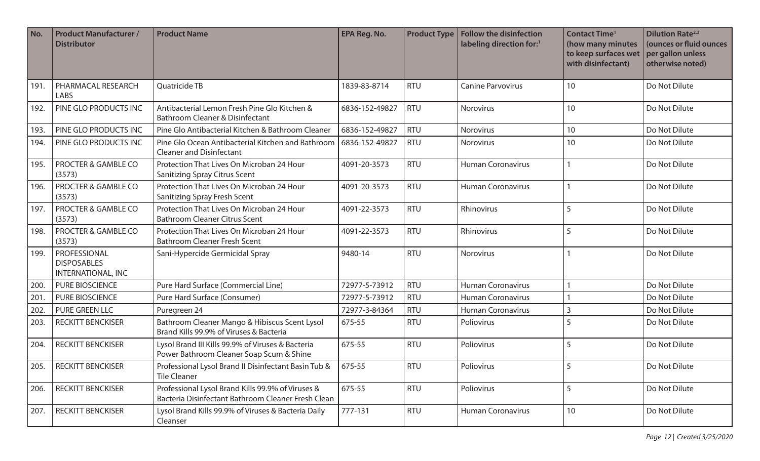| No.  | <b>Product Manufacturer /</b><br><b>Distributor</b>      | <b>Product Name</b>                                                                                     | <b>EPA Reg. No.</b> | <b>Product Type</b> | <b>Follow the disinfection</b><br>labeling direction for:1 | <b>Contact Time<sup>1</sup></b><br>(how many minutes<br>to keep surfaces wet<br>with disinfectant) | <b>Dilution Rate</b> <sup>2,3</sup><br>(ounces or fluid ounces<br>per gallon unless<br>otherwise noted) |
|------|----------------------------------------------------------|---------------------------------------------------------------------------------------------------------|---------------------|---------------------|------------------------------------------------------------|----------------------------------------------------------------------------------------------------|---------------------------------------------------------------------------------------------------------|
| 191  | PHARMACAL RESEARCH<br><b>LABS</b>                        | Quatricide TB                                                                                           | 1839-83-8714        | <b>RTU</b>          | <b>Canine Parvovirus</b>                                   | 10                                                                                                 | Do Not Dilute                                                                                           |
| 192. | PINE GLO PRODUCTS INC                                    | Antibacterial Lemon Fresh Pine Glo Kitchen &<br><b>Bathroom Cleaner &amp; Disinfectant</b>              | 6836-152-49827      | <b>RTU</b>          | Norovirus                                                  | 10                                                                                                 | Do Not Dilute                                                                                           |
| 193. | PINE GLO PRODUCTS INC                                    | Pine Glo Antibacterial Kitchen & Bathroom Cleaner                                                       | 6836-152-49827      | <b>RTU</b>          | Norovirus                                                  | 10                                                                                                 | Do Not Dilute                                                                                           |
| 194. | PINE GLO PRODUCTS INC                                    | Pine Glo Ocean Antibacterial Kitchen and Bathroom<br><b>Cleaner and Disinfectant</b>                    | 6836-152-49827      | <b>RTU</b>          | Norovirus                                                  | 10                                                                                                 | Do Not Dilute                                                                                           |
| 195. | PROCTER & GAMBLE CO<br>(3573)                            | Protection That Lives On Microban 24 Hour<br><b>Sanitizing Spray Citrus Scent</b>                       | 4091-20-3573        | <b>RTU</b>          | <b>Human Coronavirus</b>                                   |                                                                                                    | Do Not Dilute                                                                                           |
| 196. | PROCTER & GAMBLE CO<br>(3573)                            | Protection That Lives On Microban 24 Hour<br>Sanitizing Spray Fresh Scent                               | 4091-20-3573        | <b>RTU</b>          | <b>Human Coronavirus</b>                                   |                                                                                                    | Do Not Dilute                                                                                           |
| 197. | PROCTER & GAMBLE CO<br>(3573)                            | Protection That Lives On Microban 24 Hour<br><b>Bathroom Cleaner Citrus Scent</b>                       | 4091-22-3573        | <b>RTU</b>          | Rhinovirus                                                 | 5                                                                                                  | Do Not Dilute                                                                                           |
| 198. | PROCTER & GAMBLE CO<br>(3573)                            | Protection That Lives On Microban 24 Hour<br><b>Bathroom Cleaner Fresh Scent</b>                        | 4091-22-3573        | <b>RTU</b>          | Rhinovirus                                                 | 5                                                                                                  | Do Not Dilute                                                                                           |
| 199. | PROFESSIONAL<br><b>DISPOSABLES</b><br>INTERNATIONAL, INC | Sani-Hypercide Germicidal Spray                                                                         | 9480-14             | <b>RTU</b>          | Norovirus                                                  |                                                                                                    | Do Not Dilute                                                                                           |
| 200  | <b>PURE BIOSCIENCE</b>                                   | Pure Hard Surface (Commercial Line)                                                                     | 72977-5-73912       | <b>RTU</b>          | <b>Human Coronavirus</b>                                   |                                                                                                    | Do Not Dilute                                                                                           |
| 201. | <b>PURE BIOSCIENCE</b>                                   | Pure Hard Surface (Consumer)                                                                            | 72977-5-73912       | <b>RTU</b>          | <b>Human Coronavirus</b>                                   |                                                                                                    | Do Not Dilute                                                                                           |
| 202. | PURE GREEN LLC                                           | Puregreen 24                                                                                            | 72977-3-84364       | <b>RTU</b>          | <b>Human Coronavirus</b>                                   | 3                                                                                                  | Do Not Dilute                                                                                           |
| 203. | <b>RECKITT BENCKISER</b>                                 | Bathroom Cleaner Mango & Hibiscus Scent Lysol<br>Brand Kills 99.9% of Viruses & Bacteria                | 675-55              | <b>RTU</b>          | Poliovirus                                                 | $\sqrt{2}$                                                                                         | Do Not Dilute                                                                                           |
| 204. | <b>RECKITT BENCKISER</b>                                 | Lysol Brand III Kills 99.9% of Viruses & Bacteria<br>Power Bathroom Cleaner Soap Scum & Shine           | 675-55              | <b>RTU</b>          | Poliovirus                                                 | 5                                                                                                  | Do Not Dilute                                                                                           |
|      | 205. RECKITT BENCKISER                                   | Professional Lysol Brand II Disinfectant Basin Tub & 675-55<br><b>Tile Cleaner</b>                      |                     | <b>RTU</b>          | Poliovirus                                                 | C                                                                                                  | Do Not Dilute                                                                                           |
| 206. | <b>RECKITT BENCKISER</b>                                 | Professional Lysol Brand Kills 99.9% of Viruses &<br>Bacteria Disinfectant Bathroom Cleaner Fresh Clean | 675-55              | <b>RTU</b>          | Poliovirus                                                 | 5                                                                                                  | Do Not Dilute                                                                                           |
| 207. | <b>RECKITT BENCKISER</b>                                 | Lysol Brand Kills 99.9% of Viruses & Bacteria Daily<br>Cleanser                                         | 777-131             | <b>RTU</b>          | <b>Human Coronavirus</b>                                   | 10                                                                                                 | Do Not Dilute                                                                                           |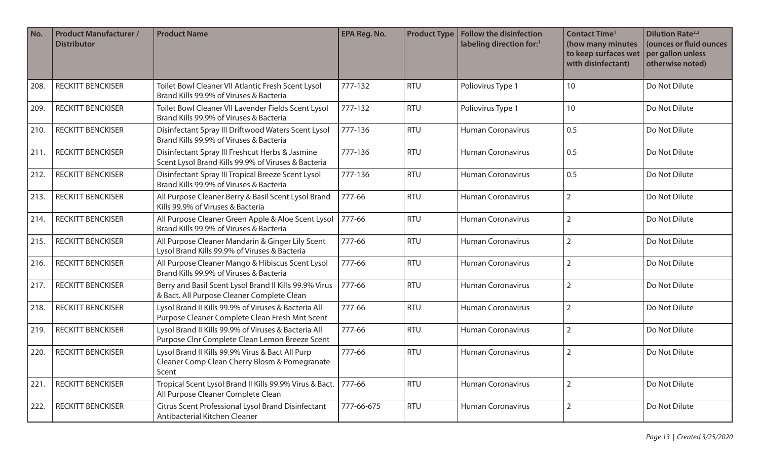| No.  | <b>Product Manufacturer /</b><br><b>Distributor</b> | <b>Product Name</b>                                                                                        | <b>EPA Reg. No.</b> | <b>Product Type</b> | <b>Follow the disinfection</b><br>labeling direction for: <sup>1</sup> | <b>Contact Time<sup>1</sup></b><br>(how many minutes<br>to keep surfaces wet<br>with disinfectant) | <b>Dilution Rate</b> <sup>2,3</sup><br>(ounces or fluid ounces<br>per gallon unless<br>otherwise noted) |
|------|-----------------------------------------------------|------------------------------------------------------------------------------------------------------------|---------------------|---------------------|------------------------------------------------------------------------|----------------------------------------------------------------------------------------------------|---------------------------------------------------------------------------------------------------------|
| 208. | <b>RECKITT BENCKISER</b>                            | Toilet Bowl Cleaner VII Atlantic Fresh Scent Lysol<br>Brand Kills 99.9% of Viruses & Bacteria              | 777-132             | <b>RTU</b>          | Poliovirus Type 1                                                      | 10                                                                                                 | Do Not Dilute                                                                                           |
| 209. | <b>RECKITT BENCKISER</b>                            | Toilet Bowl Cleaner VII Lavender Fields Scent Lysol<br>Brand Kills 99.9% of Viruses & Bacteria             | 777-132             | <b>RTU</b>          | Poliovirus Type 1                                                      | 10                                                                                                 | Do Not Dilute                                                                                           |
| 210. | <b>RECKITT BENCKISER</b>                            | Disinfectant Spray III Driftwood Waters Scent Lysol<br>Brand Kills 99.9% of Viruses & Bacteria             | 777-136             | <b>RTU</b>          | <b>Human Coronavirus</b>                                               | 0.5                                                                                                | Do Not Dilute                                                                                           |
| 211. | <b>RECKITT BENCKISER</b>                            | Disinfectant Spray III Freshcut Herbs & Jasmine<br>Scent Lysol Brand Kills 99.9% of Viruses & Bacteria     | 777-136             | <b>RTU</b>          | <b>Human Coronavirus</b>                                               | 0.5                                                                                                | Do Not Dilute                                                                                           |
| 212. | <b>RECKITT BENCKISER</b>                            | Disinfectant Spray III Tropical Breeze Scent Lysol<br>Brand Kills 99.9% of Viruses & Bacteria              | 777-136             | <b>RTU</b>          | <b>Human Coronavirus</b>                                               | 0.5                                                                                                | Do Not Dilute                                                                                           |
| 213. | <b>RECKITT BENCKISER</b>                            | All Purpose Cleaner Berry & Basil Scent Lysol Brand<br>Kills 99.9% of Viruses & Bacteria                   | 777-66              | <b>RTU</b>          | <b>Human Coronavirus</b>                                               | $\overline{2}$                                                                                     | Do Not Dilute                                                                                           |
| 214. | <b>RECKITT BENCKISER</b>                            | All Purpose Cleaner Green Apple & Aloe Scent Lysol<br>Brand Kills 99.9% of Viruses & Bacteria              | 777-66              | <b>RTU</b>          | Human Coronavirus                                                      | $\overline{2}$                                                                                     | Do Not Dilute                                                                                           |
| 215. | <b>RECKITT BENCKISER</b>                            | All Purpose Cleaner Mandarin & Ginger Lily Scent<br>Lysol Brand Kills 99.9% of Viruses & Bacteria          | 777-66              | <b>RTU</b>          | <b>Human Coronavirus</b>                                               | $\overline{2}$                                                                                     | Do Not Dilute                                                                                           |
| 216. | <b>RECKITT BENCKISER</b>                            | All Purpose Cleaner Mango & Hibiscus Scent Lysol<br>Brand Kills 99.9% of Viruses & Bacteria                | 777-66              | <b>RTU</b>          | <b>Human Coronavirus</b>                                               | $\overline{2}$                                                                                     | Do Not Dilute                                                                                           |
| 217. | <b>RECKITT BENCKISER</b>                            | Berry and Basil Scent Lysol Brand II Kills 99.9% Virus<br>& Bact. All Purpose Cleaner Complete Clean       | 777-66              | <b>RTU</b>          | <b>Human Coronavirus</b>                                               | $\overline{2}$                                                                                     | Do Not Dilute                                                                                           |
| 218. | <b>RECKITT BENCKISER</b>                            | Lysol Brand II Kills 99.9% of Viruses & Bacteria All<br>Purpose Cleaner Complete Clean Fresh Mnt Scent     | 777-66              | <b>RTU</b>          | <b>Human Coronavirus</b>                                               | $\overline{2}$                                                                                     | Do Not Dilute                                                                                           |
| 219. | <b>RECKITT BENCKISER</b>                            | Lysol Brand II Kills 99.9% of Viruses & Bacteria All<br>Purpose Clnr Complete Clean Lemon Breeze Scent     | 777-66              | <b>RTU</b>          | Human Coronavirus                                                      | $\overline{2}$                                                                                     | Do Not Dilute                                                                                           |
| 220. | <b>RECKITT BENCKISER</b>                            | Lysol Brand II Kills 99.9% Virus & Bact All Purp<br>Cleaner Comp Clean Cherry Blosm & Pomegranate<br>Scent | 777-66              | <b>RTU</b>          | <b>Human Coronavirus</b>                                               | $\overline{2}$                                                                                     | Do Not Dilute                                                                                           |
| 221. | <b>RECKITT BENCKISER</b>                            | Tropical Scent Lysol Brand II Kills 99.9% Virus & Bact. 777-66<br>All Purpose Cleaner Complete Clean       |                     | <b>RTU</b>          | <b>Human Coronavirus</b>                                               | $\overline{2}$                                                                                     | Do Not Dilute                                                                                           |
| 222. | <b>RECKITT BENCKISER</b>                            | Citrus Scent Professional Lysol Brand Disinfectant<br>Antibacterial Kitchen Cleaner                        | 777-66-675          | <b>RTU</b>          | Human Coronavirus                                                      | $\overline{2}$                                                                                     | Do Not Dilute                                                                                           |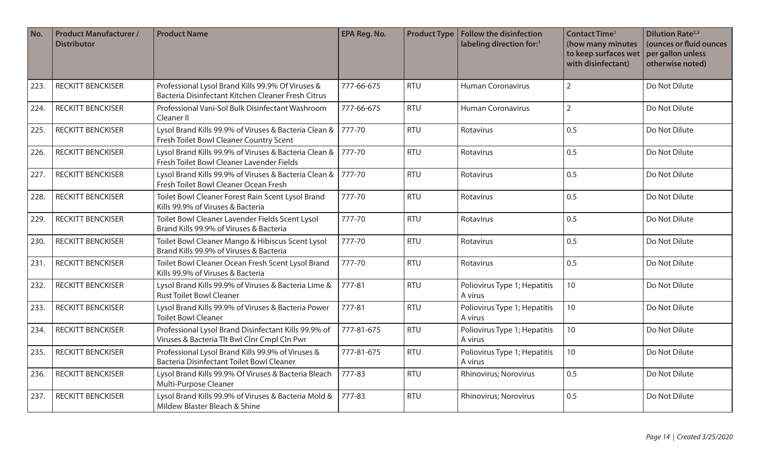| No.  | <b>Product Manufacturer /</b><br><b>Distributor</b> | <b>Product Name</b>                                                                                     | <b>EPA Reg. No.</b> | <b>Product Type</b> | <b>Follow the disinfection</b><br>labeling direction for: <sup>1</sup> | <b>Contact Time<sup>1</sup></b><br>(how many minutes<br>to keep surfaces wet<br>with disinfectant) | <b>Dilution Rate</b> <sup>2,3</sup><br>(ounces or fluid ounces<br>per gallon unless<br>otherwise noted) |
|------|-----------------------------------------------------|---------------------------------------------------------------------------------------------------------|---------------------|---------------------|------------------------------------------------------------------------|----------------------------------------------------------------------------------------------------|---------------------------------------------------------------------------------------------------------|
| 223. | <b>RECKITT BENCKISER</b>                            | Professional Lysol Brand Kills 99.9% Of Viruses &<br>Bacteria Disinfectant Kitchen Cleaner Fresh Citrus | 777-66-675          | <b>RTU</b>          | <b>Human Coronavirus</b>                                               | $\overline{2}$                                                                                     | Do Not Dilute                                                                                           |
| 224. | <b>RECKITT BENCKISER</b>                            | Professional Vani-Sol Bulk Disinfectant Washroom<br>Cleaner II                                          | 777-66-675          | <b>RTU</b>          | <b>Human Coronavirus</b>                                               | $\overline{2}$                                                                                     | Do Not Dilute                                                                                           |
| 225. | <b>RECKITT BENCKISER</b>                            | Lysol Brand Kills 99.9% of Viruses & Bacteria Clean &<br>Fresh Toilet Bowl Cleaner Country Scent        | 777-70              | <b>RTU</b>          | Rotavirus                                                              | 0.5                                                                                                | Do Not Dilute                                                                                           |
| 226. | <b>RECKITT BENCKISER</b>                            | Lysol Brand Kills 99.9% of Viruses & Bacteria Clean &<br>Fresh Toilet Bowl Cleaner Lavender Fields      | 777-70              | <b>RTU</b>          | Rotavirus                                                              | 0.5                                                                                                | Do Not Dilute                                                                                           |
| 227. | <b>RECKITT BENCKISER</b>                            | Lysol Brand Kills 99.9% of Viruses & Bacteria Clean &<br>Fresh Toilet Bowl Cleaner Ocean Fresh          | 777-70              | <b>RTU</b>          | Rotavirus                                                              | 0.5                                                                                                | Do Not Dilute                                                                                           |
| 228. | <b>RECKITT BENCKISER</b>                            | Toilet Bowl Cleaner Forest Rain Scent Lysol Brand<br>Kills 99.9% of Viruses & Bacteria                  | 777-70              | <b>RTU</b>          | Rotavirus                                                              | 0.5                                                                                                | Do Not Dilute                                                                                           |
| 229. | <b>RECKITT BENCKISER</b>                            | Toilet Bowl Cleaner Lavender Fields Scent Lysol<br>Brand Kills 99.9% of Viruses & Bacteria              | 777-70              | <b>RTU</b>          | Rotavirus                                                              | 0.5                                                                                                | Do Not Dilute                                                                                           |
| 230. | <b>RECKITT BENCKISER</b>                            | Toilet Bowl Cleaner Mango & Hibiscus Scent Lysol<br>Brand Kills 99.9% of Viruses & Bacteria             | 777-70              | <b>RTU</b>          | Rotavirus                                                              | 0.5                                                                                                | Do Not Dilute                                                                                           |
| 231. | <b>RECKITT BENCKISER</b>                            | Toilet Bowl Cleaner Ocean Fresh Scent Lysol Brand<br>Kills 99.9% of Viruses & Bacteria                  | 777-70              | <b>RTU</b>          | Rotavirus                                                              | 0.5                                                                                                | Do Not Dilute                                                                                           |
| 232. | <b>RECKITT BENCKISER</b>                            | Lysol Brand Kills 99.9% of Viruses & Bacteria Lime &<br><b>Rust Toilet Bowl Cleaner</b>                 | 777-81              | <b>RTU</b>          | Poliovirus Type 1; Hepatitis<br>A virus                                | 10                                                                                                 | Do Not Dilute                                                                                           |
| 233. | <b>RECKITT BENCKISER</b>                            | Lysol Brand Kills 99.9% of Viruses & Bacteria Power<br><b>Toilet Bowl Cleaner</b>                       | 777-81              | <b>RTU</b>          | Poliovirus Type 1; Hepatitis<br>A virus                                | 10                                                                                                 | Do Not Dilute                                                                                           |
| 234. | <b>RECKITT BENCKISER</b>                            | Professional Lysol Brand Disinfectant Kills 99.9% of<br>Viruses & Bacteria Tlt Bwl Clnr Cmpl Cln Pwr    | 777-81-675          | <b>RTU</b>          | Poliovirus Type 1; Hepatitis<br>A virus                                | 10                                                                                                 | Do Not Dilute                                                                                           |
| 235. | <b>RECKITT BENCKISER</b>                            | Professional Lysol Brand Kills 99.9% of Viruses &<br>Bacteria Disinfectant Toilet Bowl Cleaner          | 777-81-675          | <b>RTU</b>          | Poliovirus Type 1; Hepatitis<br>A virus                                | 10                                                                                                 | Do Not Dilute                                                                                           |
| 236. | <b>RECKITT BENCKISER</b>                            | Lysol Brand Kills 99.9% Of Viruses & Bacteria Bleach<br>Multi-Purpose Cleaner                           | 777-83              | <b>RTU</b>          | Rhinovirus; Norovirus                                                  | 0.5                                                                                                | Do Not Dilute                                                                                           |
| 237. | <b>RECKITT BENCKISER</b>                            | Lysol Brand Kills 99.9% of Viruses & Bacteria Mold &<br>Mildew Blaster Bleach & Shine                   | 777-83              | <b>RTU</b>          | Rhinovirus; Norovirus                                                  | 0.5                                                                                                | Do Not Dilute                                                                                           |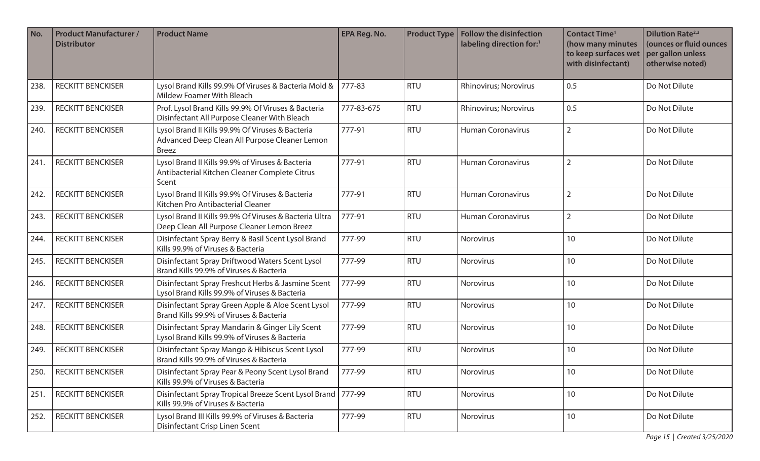| No.  | <b>Product Manufacturer /</b><br><b>Distributor</b> | <b>Product Name</b>                                                                                               | <b>EPA Reg. No.</b> | <b>Product Type</b> | <b>Follow the disinfection</b><br>labeling direction for:1 | <b>Contact Time<sup>1</sup></b><br>(how many minutes<br>to keep surfaces wet<br>with disinfectant) | <b>Dilution Rate</b> <sup>2,3</sup><br>(ounces or fluid ounces<br>per gallon unless<br>otherwise noted) |
|------|-----------------------------------------------------|-------------------------------------------------------------------------------------------------------------------|---------------------|---------------------|------------------------------------------------------------|----------------------------------------------------------------------------------------------------|---------------------------------------------------------------------------------------------------------|
| 238. | <b>RECKITT BENCKISER</b>                            | Lysol Brand Kills 99.9% Of Viruses & Bacteria Mold &<br><b>Mildew Foamer With Bleach</b>                          | 777-83              | <b>RTU</b>          | Rhinovirus; Norovirus                                      | 0.5                                                                                                | Do Not Dilute                                                                                           |
| 239. | <b>RECKITT BENCKISER</b>                            | Prof. Lysol Brand Kills 99.9% Of Viruses & Bacteria<br>Disinfectant All Purpose Cleaner With Bleach               | 777-83-675          | <b>RTU</b>          | Rhinovirus; Norovirus                                      | 0.5                                                                                                | Do Not Dilute                                                                                           |
| 240. | <b>RECKITT BENCKISER</b>                            | Lysol Brand II Kills 99.9% Of Viruses & Bacteria<br>Advanced Deep Clean All Purpose Cleaner Lemon<br><b>Breez</b> | 777-91              | <b>RTU</b>          | <b>Human Coronavirus</b>                                   | $\overline{2}$                                                                                     | Do Not Dilute                                                                                           |
| 241  | <b>RECKITT BENCKISER</b>                            | Lysol Brand II Kills 99.9% of Viruses & Bacteria<br>Antibacterial Kitchen Cleaner Complete Citrus<br>Scent        | 777-91              | <b>RTU</b>          | <b>Human Coronavirus</b>                                   | $\overline{2}$                                                                                     | Do Not Dilute                                                                                           |
| 242. | <b>RECKITT BENCKISER</b>                            | Lysol Brand II Kills 99.9% Of Viruses & Bacteria<br>Kitchen Pro Antibacterial Cleaner                             | 777-91              | <b>RTU</b>          | <b>Human Coronavirus</b>                                   | $\overline{2}$                                                                                     | Do Not Dilute                                                                                           |
| 243. | <b>RECKITT BENCKISER</b>                            | Lysol Brand II Kills 99.9% Of Viruses & Bacteria Ultra<br>Deep Clean All Purpose Cleaner Lemon Breez              | 777-91              | <b>RTU</b>          | <b>Human Coronavirus</b>                                   | $\overline{2}$                                                                                     | Do Not Dilute                                                                                           |
| 244. | <b>RECKITT BENCKISER</b>                            | Disinfectant Spray Berry & Basil Scent Lysol Brand<br>Kills 99.9% of Viruses & Bacteria                           | 777-99              | <b>RTU</b>          | <b>Norovirus</b>                                           | 10                                                                                                 | Do Not Dilute                                                                                           |
| 245. | <b>RECKITT BENCKISER</b>                            | Disinfectant Spray Driftwood Waters Scent Lysol<br>Brand Kills 99.9% of Viruses & Bacteria                        | 777-99              | <b>RTU</b>          | Norovirus                                                  | 10                                                                                                 | Do Not Dilute                                                                                           |
| 246. | <b>RECKITT BENCKISER</b>                            | Disinfectant Spray Freshcut Herbs & Jasmine Scent<br>Lysol Brand Kills 99.9% of Viruses & Bacteria                | 777-99              | <b>RTU</b>          | Norovirus                                                  | 10                                                                                                 | Do Not Dilute                                                                                           |
| 247. | <b>RECKITT BENCKISER</b>                            | Disinfectant Spray Green Apple & Aloe Scent Lysol<br>Brand Kills 99.9% of Viruses & Bacteria                      | 777-99              | <b>RTU</b>          | Norovirus                                                  | 10                                                                                                 | Do Not Dilute                                                                                           |
| 248. | <b>RECKITT BENCKISER</b>                            | Disinfectant Spray Mandarin & Ginger Lily Scent<br>Lysol Brand Kills 99.9% of Viruses & Bacteria                  | 777-99              | <b>RTU</b>          | Norovirus                                                  | 10                                                                                                 | Do Not Dilute                                                                                           |
| 249. | <b>RECKITT BENCKISER</b>                            | Disinfectant Spray Mango & Hibiscus Scent Lysol<br>Brand Kills 99.9% of Viruses & Bacteria                        | 777-99              | <b>RTU</b>          | Norovirus                                                  | 10                                                                                                 | Do Not Dilute                                                                                           |
| 250. | <b>RECKITT BENCKISER</b>                            | Disinfectant Spray Pear & Peony Scent Lysol Brand<br>Kills 99.9% of Viruses & Bacteria                            | 777-99              | <b>RTU</b>          | Norovirus                                                  | 10                                                                                                 | Do Not Dilute                                                                                           |
| 251. | <b>RECKITT BENCKISER</b>                            | Disinfectant Spray Tropical Breeze Scent Lysol Brand   777-99<br>Kills 99.9% of Viruses & Bacteria                |                     | <b>RTU</b>          | Norovirus                                                  | 10                                                                                                 | Do Not Dilute                                                                                           |
| 252. | <b>RECKITT BENCKISER</b>                            | Lysol Brand III Kills 99.9% of Viruses & Bacteria<br>Disinfectant Crisp Linen Scent                               | 777-99              | <b>RTU</b>          | Norovirus                                                  | 10                                                                                                 | Do Not Dilute                                                                                           |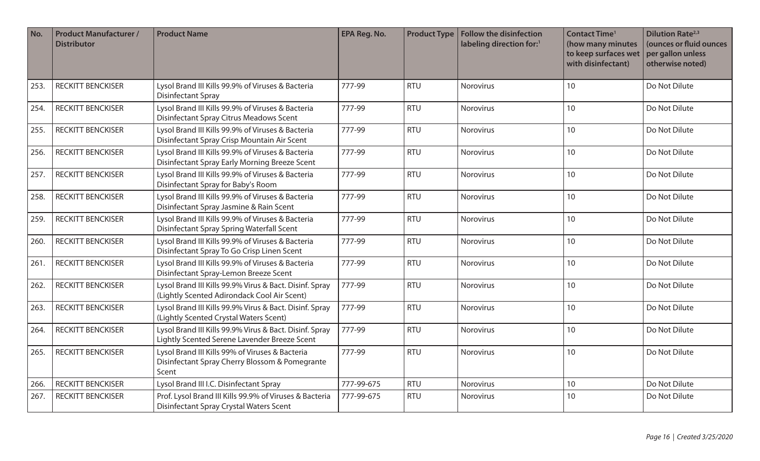| No.  | <b>Product Manufacturer /</b><br><b>Distributor</b> | <b>Product Name</b>                                                                                        | <b>EPA Reg. No.</b> | <b>Product Type</b> | <b>Follow the disinfection</b><br>labeling direction for:1 | <b>Contact Time<sup>1</sup></b><br>(how many minutes<br>to keep surfaces wet<br>with disinfectant) | <b>Dilution Rate</b> <sup>2,3</sup><br>(ounces or fluid ounces<br>per gallon unless<br>otherwise noted) |
|------|-----------------------------------------------------|------------------------------------------------------------------------------------------------------------|---------------------|---------------------|------------------------------------------------------------|----------------------------------------------------------------------------------------------------|---------------------------------------------------------------------------------------------------------|
| 253. | <b>RECKITT BENCKISER</b>                            | Lysol Brand III Kills 99.9% of Viruses & Bacteria<br><b>Disinfectant Spray</b>                             | 777-99              | <b>RTU</b>          | Norovirus                                                  | 10                                                                                                 | Do Not Dilute                                                                                           |
| 254. | <b>RECKITT BENCKISER</b>                            | Lysol Brand III Kills 99.9% of Viruses & Bacteria<br>Disinfectant Spray Citrus Meadows Scent               | 777-99              | <b>RTU</b>          | Norovirus                                                  | 10                                                                                                 | Do Not Dilute                                                                                           |
| 255. | <b>RECKITT BENCKISER</b>                            | Lysol Brand III Kills 99.9% of Viruses & Bacteria<br>Disinfectant Spray Crisp Mountain Air Scent           | 777-99              | <b>RTU</b>          | Norovirus                                                  | 10                                                                                                 | Do Not Dilute                                                                                           |
| 256. | <b>RECKITT BENCKISER</b>                            | Lysol Brand III Kills 99.9% of Viruses & Bacteria<br>Disinfectant Spray Early Morning Breeze Scent         | 777-99              | <b>RTU</b>          | Norovirus                                                  | 10                                                                                                 | Do Not Dilute                                                                                           |
| 257. | <b>RECKITT BENCKISER</b>                            | Lysol Brand III Kills 99.9% of Viruses & Bacteria<br>Disinfectant Spray for Baby's Room                    | 777-99              | <b>RTU</b>          | Norovirus                                                  | 10                                                                                                 | Do Not Dilute                                                                                           |
| 258. | <b>RECKITT BENCKISER</b>                            | Lysol Brand III Kills 99.9% of Viruses & Bacteria<br>Disinfectant Spray Jasmine & Rain Scent               | 777-99              | <b>RTU</b>          | <b>Norovirus</b>                                           | 10                                                                                                 | Do Not Dilute                                                                                           |
| 259. | <b>RECKITT BENCKISER</b>                            | Lysol Brand III Kills 99.9% of Viruses & Bacteria<br>Disinfectant Spray Spring Waterfall Scent             | 777-99              | <b>RTU</b>          | Norovirus                                                  | 10                                                                                                 | Do Not Dilute                                                                                           |
| 260. | <b>RECKITT BENCKISER</b>                            | Lysol Brand III Kills 99.9% of Viruses & Bacteria<br>Disinfectant Spray To Go Crisp Linen Scent            | 777-99              | <b>RTU</b>          | Norovirus                                                  | 10                                                                                                 | Do Not Dilute                                                                                           |
| 261. | <b>RECKITT BENCKISER</b>                            | Lysol Brand III Kills 99.9% of Viruses & Bacteria<br>Disinfectant Spray-Lemon Breeze Scent                 | 777-99              | <b>RTU</b>          | Norovirus                                                  | 10                                                                                                 | Do Not Dilute                                                                                           |
| 262. | <b>RECKITT BENCKISER</b>                            | Lysol Brand III Kills 99.9% Virus & Bact. Disinf. Spray<br>(Lightly Scented Adirondack Cool Air Scent)     | 777-99              | <b>RTU</b>          | Norovirus                                                  | 10                                                                                                 | Do Not Dilute                                                                                           |
| 263. | <b>RECKITT BENCKISER</b>                            | Lysol Brand III Kills 99.9% Virus & Bact. Disinf. Spray<br>(Lightly Scented Crystal Waters Scent)          | 777-99              | <b>RTU</b>          | Norovirus                                                  | 10                                                                                                 | Do Not Dilute                                                                                           |
| 264. | <b>RECKITT BENCKISER</b>                            | Lysol Brand III Kills 99.9% Virus & Bact. Disinf. Spray<br>Lightly Scented Serene Lavender Breeze Scent    | 777-99              | <b>RTU</b>          | Norovirus                                                  | 10                                                                                                 | Do Not Dilute                                                                                           |
| 265. | <b>RECKITT BENCKISER</b>                            | Lysol Brand III Kills 99% of Viruses & Bacteria<br>Disinfectant Spray Cherry Blossom & Pomegrante<br>Scent | 777-99              | <b>RTU</b>          | Norovirus                                                  | 10                                                                                                 | Do Not Dilute                                                                                           |
| 266. | <b>RECKITT BENCKISER</b>                            | Lysol Brand III I.C. Disinfectant Spray                                                                    | 777-99-675          | <b>RTU</b>          | Norovirus                                                  | 10                                                                                                 | Do Not Dilute                                                                                           |
| 267. | <b>RECKITT BENCKISER</b>                            | Prof. Lysol Brand III Kills 99.9% of Viruses & Bacteria<br>Disinfectant Spray Crystal Waters Scent         | 777-99-675          | <b>RTU</b>          | <b>Norovirus</b>                                           | 10                                                                                                 | Do Not Dilute                                                                                           |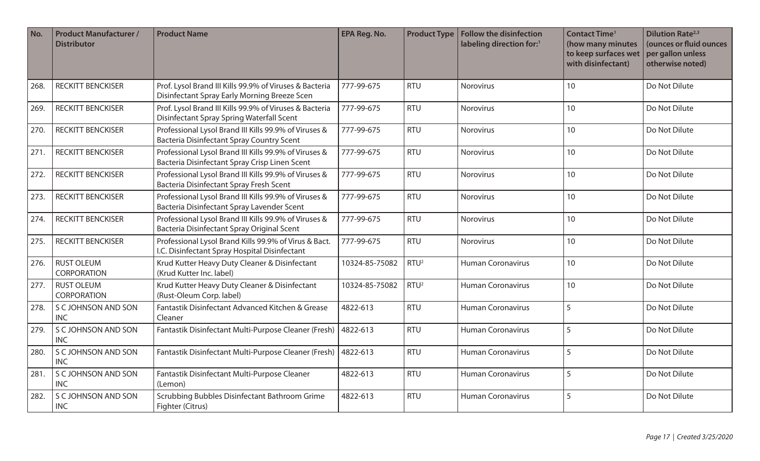| No.  | <b>Product Manufacturer /</b><br><b>Distributor</b> | <b>Product Name</b>                                                                                       | EPA Reg. No.   | <b>Product Type</b> | Follow the disinfection<br>labeling direction for:1 | <b>Contact Time<sup>1</sup></b><br>(how many minutes<br>to keep surfaces wet<br>with disinfectant) | <b>Dilution Rate</b> <sup>2,3</sup><br>(ounces or fluid ounces<br>per gallon unless<br>otherwise noted) |
|------|-----------------------------------------------------|-----------------------------------------------------------------------------------------------------------|----------------|---------------------|-----------------------------------------------------|----------------------------------------------------------------------------------------------------|---------------------------------------------------------------------------------------------------------|
| 268. | <b>RECKITT BENCKISER</b>                            | Prof. Lysol Brand III Kills 99.9% of Viruses & Bacteria<br>Disinfectant Spray Early Morning Breeze Scen   | 777-99-675     | <b>RTU</b>          | Norovirus                                           | 10                                                                                                 | Do Not Dilute                                                                                           |
| 269. | <b>RECKITT BENCKISER</b>                            | Prof. Lysol Brand III Kills 99.9% of Viruses & Bacteria<br>Disinfectant Spray Spring Waterfall Scent      | 777-99-675     | <b>RTU</b>          | Norovirus                                           | 10                                                                                                 | Do Not Dilute                                                                                           |
| 270. | <b>RECKITT BENCKISER</b>                            | Professional Lysol Brand III Kills 99.9% of Viruses &<br><b>Bacteria Disinfectant Spray Country Scent</b> | 777-99-675     | <b>RTU</b>          | Norovirus                                           | 10                                                                                                 | Do Not Dilute                                                                                           |
| 271. | <b>RECKITT BENCKISER</b>                            | Professional Lysol Brand III Kills 99.9% of Viruses &<br>Bacteria Disinfectant Spray Crisp Linen Scent    | 777-99-675     | <b>RTU</b>          | Norovirus                                           | 10                                                                                                 | Do Not Dilute                                                                                           |
| 272. | <b>RECKITT BENCKISER</b>                            | Professional Lysol Brand III Kills 99.9% of Viruses &<br>Bacteria Disinfectant Spray Fresh Scent          | 777-99-675     | <b>RTU</b>          | Norovirus                                           | 10                                                                                                 | Do Not Dilute                                                                                           |
| 273. | <b>RECKITT BENCKISER</b>                            | Professional Lysol Brand III Kills 99.9% of Viruses &<br>Bacteria Disinfectant Spray Lavender Scent       | 777-99-675     | <b>RTU</b>          | Norovirus                                           | 10                                                                                                 | Do Not Dilute                                                                                           |
| 274. | <b>RECKITT BENCKISER</b>                            | Professional Lysol Brand III Kills 99.9% of Viruses &<br>Bacteria Disinfectant Spray Original Scent       | 777-99-675     | <b>RTU</b>          | Norovirus                                           | 10                                                                                                 | Do Not Dilute                                                                                           |
| 275. | <b>RECKITT BENCKISER</b>                            | Professional Lysol Brand Kills 99.9% of Virus & Bact.<br>I.C. Disinfectant Spray Hospital Disinfectant    | 777-99-675     | <b>RTU</b>          | Norovirus                                           | 10                                                                                                 | Do Not Dilute                                                                                           |
| 276. | <b>RUST OLEUM</b><br><b>CORPORATION</b>             | Krud Kutter Heavy Duty Cleaner & Disinfectant<br>(Krud Kutter Inc. label)                                 | 10324-85-75082 | RTU <sup>2</sup>    | <b>Human Coronavirus</b>                            | 10                                                                                                 | Do Not Dilute                                                                                           |
| 277. | <b>RUST OLEUM</b><br><b>CORPORATION</b>             | Krud Kutter Heavy Duty Cleaner & Disinfectant<br>(Rust-Oleum Corp. label)                                 | 10324-85-75082 | RTU <sup>2</sup>    | <b>Human Coronavirus</b>                            | 10                                                                                                 | Do Not Dilute                                                                                           |
| 278. | S C JOHNSON AND SON<br><b>INC</b>                   | Fantastik Disinfectant Advanced Kitchen & Grease<br>Cleaner                                               | 4822-613       | <b>RTU</b>          | <b>Human Coronavirus</b>                            | 5                                                                                                  | Do Not Dilute                                                                                           |
| 279. | S C JOHNSON AND SON<br><b>INC</b>                   | Fantastik Disinfectant Multi-Purpose Cleaner (Fresh)                                                      | 4822-613       | <b>RTU</b>          | <b>Human Coronavirus</b>                            | 5                                                                                                  | Do Not Dilute                                                                                           |
| 280. | S C JOHNSON AND SON<br><b>INC</b>                   | Fantastik Disinfectant Multi-Purpose Cleaner (Fresh)                                                      | 4822-613       | <b>RTU</b>          | <b>Human Coronavirus</b>                            | 5                                                                                                  | Do Not Dilute                                                                                           |
| 281  | S C JOHNSON AND SON<br><b>INC</b>                   | Fantastik Disinfectant Multi-Purpose Cleaner<br>(Lemon)                                                   | 4822-613       | <b>RTU</b>          | <b>Human Coronavirus</b>                            | 5                                                                                                  | Do Not Dilute                                                                                           |
| 282. | S C JOHNSON AND SON<br><b>INC</b>                   | Scrubbing Bubbles Disinfectant Bathroom Grime<br>Fighter (Citrus)                                         | 4822-613       | <b>RTU</b>          | <b>Human Coronavirus</b>                            | 5                                                                                                  | Do Not Dilute                                                                                           |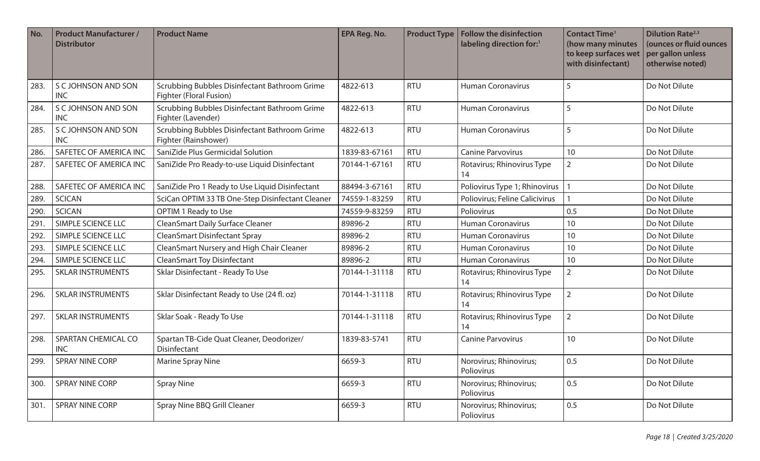| No.  | <b>Product Manufacturer /</b><br><b>Distributor</b> | <b>Product Name</b>                                                      | EPA Reg. No.  | <b>Product Type</b> | <b>Follow the disinfection</b><br>labeling direction for:1 | <b>Contact Time<sup>1</sup></b><br>(how many minutes<br>to keep surfaces wet<br>with disinfectant) | <b>Dilution Rate</b> <sup>2,3</sup><br>(ounces or fluid ounces<br>per gallon unless<br>otherwise noted) |
|------|-----------------------------------------------------|--------------------------------------------------------------------------|---------------|---------------------|------------------------------------------------------------|----------------------------------------------------------------------------------------------------|---------------------------------------------------------------------------------------------------------|
| 283. | S C JOHNSON AND SON<br><b>INC</b>                   | Scrubbing Bubbles Disinfectant Bathroom Grime<br>Fighter (Floral Fusion) | 4822-613      | <b>RTU</b>          | <b>Human Coronavirus</b>                                   | 5                                                                                                  | Do Not Dilute                                                                                           |
| 284. | S C JOHNSON AND SON<br><b>INC</b>                   | Scrubbing Bubbles Disinfectant Bathroom Grime<br>Fighter (Lavender)      | 4822-613      | <b>RTU</b>          | <b>Human Coronavirus</b>                                   | 5                                                                                                  | Do Not Dilute                                                                                           |
| 285. | S C JOHNSON AND SON<br><b>INC</b>                   | Scrubbing Bubbles Disinfectant Bathroom Grime<br>Fighter (Rainshower)    | 4822-613      | <b>RTU</b>          | <b>Human Coronavirus</b>                                   | 5                                                                                                  | Do Not Dilute                                                                                           |
| 286. | SAFETEC OF AMERICA INC                              | SaniZide Plus Germicidal Solution                                        | 1839-83-67161 | <b>RTU</b>          | <b>Canine Parvovirus</b>                                   | 10                                                                                                 | Do Not Dilute                                                                                           |
| 287. | SAFETEC OF AMERICA INC                              | SaniZide Pro Ready-to-use Liquid Disinfectant                            | 70144-1-67161 | <b>RTU</b>          | Rotavirus; Rhinovirus Type<br>14                           | $\overline{2}$                                                                                     | Do Not Dilute                                                                                           |
| 288. | SAFETEC OF AMERICA INC                              | SaniZide Pro 1 Ready to Use Liquid Disinfectant                          | 88494-3-67161 | <b>RTU</b>          | Poliovirus Type 1; Rhinovirus                              |                                                                                                    | Do Not Dilute                                                                                           |
| 289. | <b>SCICAN</b>                                       | SciCan OPTIM 33 TB One-Step Disinfectant Cleaner                         | 74559-1-83259 | <b>RTU</b>          | Poliovirus; Feline Calicivirus                             |                                                                                                    | Do Not Dilute                                                                                           |
| 290. | <b>SCICAN</b>                                       | OPTIM 1 Ready to Use                                                     | 74559-9-83259 | <b>RTU</b>          | Poliovirus                                                 | 0.5                                                                                                | Do Not Dilute                                                                                           |
| 291  | SIMPLE SCIENCE LLC                                  | CleanSmart Daily Surface Cleaner                                         | 89896-2       | <b>RTU</b>          | <b>Human Coronavirus</b>                                   | 10                                                                                                 | Do Not Dilute                                                                                           |
| 292. | SIMPLE SCIENCE LLC                                  | <b>CleanSmart Disinfectant Spray</b>                                     | 89896-2       | <b>RTU</b>          | <b>Human Coronavirus</b>                                   | 10                                                                                                 | Do Not Dilute                                                                                           |
| 293. | SIMPLE SCIENCE LLC                                  | CleanSmart Nursery and High Chair Cleaner                                | 89896-2       | <b>RTU</b>          | <b>Human Coronavirus</b>                                   | 10                                                                                                 | Do Not Dilute                                                                                           |
| 294. | SIMPLE SCIENCE LLC                                  | <b>CleanSmart Toy Disinfectant</b>                                       | 89896-2       | <b>RTU</b>          | Human Coronavirus                                          | 10                                                                                                 | Do Not Dilute                                                                                           |
| 295. | <b>SKLAR INSTRUMENTS</b>                            | Sklar Disinfectant - Ready To Use                                        | 70144-1-31118 | <b>RTU</b>          | Rotavirus; Rhinovirus Type<br>14                           | $\overline{2}$                                                                                     | Do Not Dilute                                                                                           |
| 296. | <b>SKLAR INSTRUMENTS</b>                            | Sklar Disinfectant Ready to Use (24 fl. oz)                              | 70144-1-31118 | <b>RTU</b>          | Rotavirus; Rhinovirus Type<br>14                           | $\overline{2}$                                                                                     | Do Not Dilute                                                                                           |
| 297. | <b>SKLAR INSTRUMENTS</b>                            | Sklar Soak - Ready To Use                                                | 70144-1-31118 | <b>RTU</b>          | Rotavirus; Rhinovirus Type<br>14                           | $\overline{2}$                                                                                     | Do Not Dilute                                                                                           |
| 298. | SPARTAN CHEMICAL CO<br><b>INC</b>                   | Spartan TB-Cide Quat Cleaner, Deodorizer/<br>Disinfectant                | 1839-83-5741  | <b>RTU</b>          | <b>Canine Parvovirus</b>                                   | 10                                                                                                 | Do Not Dilute                                                                                           |
| 299. | <b>SPRAY NINE CORP</b>                              | <b>Marine Spray Nine</b>                                                 | 6659-3        | <b>RTU</b>          | Norovirus; Rhinovirus;<br>Poliovirus                       | 0.5                                                                                                | Do Not Dilute                                                                                           |
| 300. | <b>SPRAY NINE CORP</b>                              | <b>Spray Nine</b>                                                        | 6659-3        | <b>RTU</b>          | Norovirus; Rhinovirus;<br>Poliovirus                       | 0.5                                                                                                | Do Not Dilute                                                                                           |
| 301. | SPRAY NINE CORP                                     | Spray Nine BBQ Grill Cleaner                                             | 6659-3        | <b>RTU</b>          | Norovirus; Rhinovirus;<br>Poliovirus                       | 0.5                                                                                                | Do Not Dilute                                                                                           |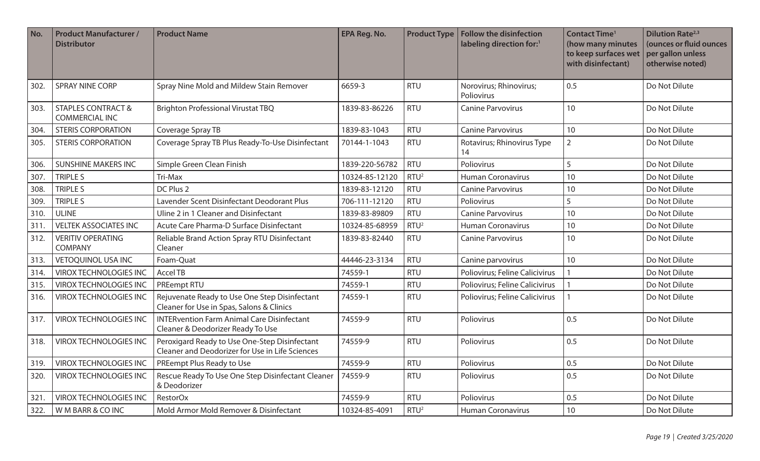| No.  | <b>Product Manufacturer /</b><br><b>Distributor</b>    | <b>Product Name</b>                                                                              | <b>EPA Reg. No.</b> | <b>Product Type</b> | Follow the disinfection<br>labeling direction for:1 | <b>Contact Time<sup>1</sup></b><br>(how many minutes<br>to keep surfaces wet<br>with disinfectant) | <b>Dilution Rate</b> <sup>2,3</sup><br>(ounces or fluid ounces<br>per gallon unless<br>otherwise noted) |
|------|--------------------------------------------------------|--------------------------------------------------------------------------------------------------|---------------------|---------------------|-----------------------------------------------------|----------------------------------------------------------------------------------------------------|---------------------------------------------------------------------------------------------------------|
| 302. | <b>SPRAY NINE CORP</b>                                 | Spray Nine Mold and Mildew Stain Remover                                                         | 6659-3              | <b>RTU</b>          | Norovirus; Rhinovirus;<br>Poliovirus                | 0.5                                                                                                | Do Not Dilute                                                                                           |
| 303. | <b>STAPLES CONTRACT &amp;</b><br><b>COMMERCIAL INC</b> | <b>Brighton Professional Virustat TBQ</b>                                                        | 1839-83-86226       | <b>RTU</b>          | <b>Canine Parvovirus</b>                            | 10                                                                                                 | Do Not Dilute                                                                                           |
| 304. | <b>STERIS CORPORATION</b>                              | Coverage Spray TB                                                                                | 1839-83-1043        | <b>RTU</b>          | <b>Canine Parvovirus</b>                            | 10                                                                                                 | Do Not Dilute                                                                                           |
| 305. | <b>STERIS CORPORATION</b>                              | Coverage Spray TB Plus Ready-To-Use Disinfectant                                                 | 70144-1-1043        | <b>RTU</b>          | Rotavirus; Rhinovirus Type<br>14                    | $\overline{2}$                                                                                     | Do Not Dilute                                                                                           |
| 306. | <b>SUNSHINE MAKERS INC</b>                             | Simple Green Clean Finish                                                                        | 1839-220-56782      | <b>RTU</b>          | Poliovirus                                          | 5                                                                                                  | Do Not Dilute                                                                                           |
| 307. | TRIPLE S                                               | Tri-Max                                                                                          | 10324-85-12120      | RTU <sup>2</sup>    | <b>Human Coronavirus</b>                            | 10                                                                                                 | Do Not Dilute                                                                                           |
| 308. | <b>TRIPLE S</b>                                        | DC Plus 2                                                                                        | 1839-83-12120       | <b>RTU</b>          | <b>Canine Parvovirus</b>                            | 10                                                                                                 | Do Not Dilute                                                                                           |
| 309. | TRIPLE S                                               | Lavender Scent Disinfectant Deodorant Plus                                                       | 706-111-12120       | <b>RTU</b>          | Poliovirus                                          | 5                                                                                                  | Do Not Dilute                                                                                           |
| 310. | <b>ULINE</b>                                           | Uline 2 in 1 Cleaner and Disinfectant                                                            | 1839-83-89809       | <b>RTU</b>          | <b>Canine Parvovirus</b>                            | 10                                                                                                 | Do Not Dilute                                                                                           |
| 311. | <b>VELTEK ASSOCIATES INC</b>                           | Acute Care Pharma-D Surface Disinfectant                                                         | 10324-85-68959      | RTU <sup>2</sup>    | <b>Human Coronavirus</b>                            | 10                                                                                                 | Do Not Dilute                                                                                           |
| 312. | <b>VERITIV OPERATING</b><br><b>COMPANY</b>             | Reliable Brand Action Spray RTU Disinfectant<br>Cleaner                                          | 1839-83-82440       | <b>RTU</b>          | <b>Canine Parvovirus</b>                            | 10                                                                                                 | Do Not Dilute                                                                                           |
| 313. | <b>VETOQUINOL USA INC</b>                              | Foam-Quat                                                                                        | 44446-23-3134       | <b>RTU</b>          | Canine parvovirus                                   | 10                                                                                                 | Do Not Dilute                                                                                           |
| 314. | <b>VIROX TECHNOLOGIES INC</b>                          | Accel TB                                                                                         | 74559-1             | <b>RTU</b>          | Poliovirus; Feline Calicivirus                      |                                                                                                    | Do Not Dilute                                                                                           |
| 315. | <b>VIROX TECHNOLOGIES INC</b>                          | PREempt RTU                                                                                      | 74559-1             | <b>RTU</b>          | Poliovirus; Feline Calicivirus                      |                                                                                                    | Do Not Dilute                                                                                           |
| 316. | <b>VIROX TECHNOLOGIES INC</b>                          | Rejuvenate Ready to Use One Step Disinfectant<br>Cleaner for Use in Spas, Salons & Clinics       | 74559-1             | <b>RTU</b>          | Poliovirus; Feline Calicivirus                      |                                                                                                    | Do Not Dilute                                                                                           |
| 317. | <b>VIROX TECHNOLOGIES INC</b>                          | <b>INTERvention Farm Animal Care Disinfectant</b><br>Cleaner & Deodorizer Ready To Use           | 74559-9             | <b>RTU</b>          | Poliovirus                                          | 0.5                                                                                                | Do Not Dilute                                                                                           |
| 318. | <b>VIROX TECHNOLOGIES INC</b>                          | Peroxigard Ready to Use One-Step Disinfectant<br>Cleaner and Deodorizer for Use in Life Sciences | 74559-9             | <b>RTU</b>          | Poliovirus                                          | 0.5                                                                                                | Do Not Dilute                                                                                           |
| 319. | <b>VIROX TECHNOLOGIES INC</b>                          | PREempt Plus Ready to Use                                                                        | 74559-9             | <b>RTU</b>          | Poliovirus                                          | 0.5                                                                                                | Do Not Dilute                                                                                           |
| 320. | <b>VIROX TECHNOLOGIES INC</b>                          | Rescue Ready To Use One Step Disinfectant Cleaner<br>& Deodorizer                                | 74559-9             | <b>RTU</b>          | Poliovirus                                          | 0.5                                                                                                | Do Not Dilute                                                                                           |
| 321. | <b>VIROX TECHNOLOGIES INC</b>                          | <b>RestorOx</b>                                                                                  | 74559-9             | <b>RTU</b>          | Poliovirus                                          | 0.5                                                                                                | Do Not Dilute                                                                                           |
| 322. | W M BARR & CO INC                                      | Mold Armor Mold Remover & Disinfectant                                                           | 10324-85-4091       | RTU <sup>2</sup>    | <b>Human Coronavirus</b>                            | $10$                                                                                               | Do Not Dilute                                                                                           |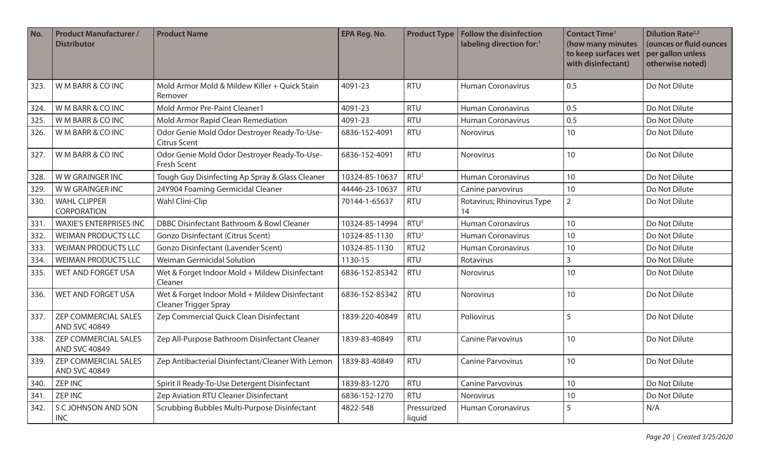| No.  | <b>Product Manufacturer /</b><br><b>Distributor</b> | <b>Product Name</b>                                                            | EPA Reg. No.   | <b>Product Type</b>   | Follow the disinfection<br>labeling direction for:1 | <b>Contact Time<sup>1</sup></b><br>(how many minutes<br>to keep surfaces wet<br>with disinfectant) | <b>Dilution Rate</b> <sup>2,3</sup><br>(ounces or fluid ounces<br>per gallon unless<br>otherwise noted) |
|------|-----------------------------------------------------|--------------------------------------------------------------------------------|----------------|-----------------------|-----------------------------------------------------|----------------------------------------------------------------------------------------------------|---------------------------------------------------------------------------------------------------------|
| 323. | W M BARR & CO INC                                   | Mold Armor Mold & Mildew Killer + Quick Stain<br>Remover                       | 4091-23        | <b>RTU</b>            | <b>Human Coronavirus</b>                            | 0.5                                                                                                | Do Not Dilute                                                                                           |
| 324. | W M BARR & CO INC                                   | Mold Armor Pre-Paint Cleaner1                                                  | 4091-23        | <b>RTU</b>            | <b>Human Coronavirus</b>                            | 0.5                                                                                                | Do Not Dilute                                                                                           |
| 325. | W M BARR & CO INC                                   | Mold Armor Rapid Clean Remediation                                             | 4091-23        | <b>RTU</b>            | <b>Human Coronavirus</b>                            | 0.5                                                                                                | Do Not Dilute                                                                                           |
| 326. | W M BARR & CO INC                                   | Odor Genie Mold Odor Destroyer Ready-To-Use-<br><b>Citrus Scent</b>            | 6836-152-4091  | <b>RTU</b>            | <b>Norovirus</b>                                    | 10                                                                                                 | Do Not Dilute                                                                                           |
| 327. | W M BARR & CO INC                                   | Odor Genie Mold Odor Destroyer Ready-To-Use-<br>Fresh Scent                    | 6836-152-4091  | <b>RTU</b>            | <b>Norovirus</b>                                    | 10                                                                                                 | Do Not Dilute                                                                                           |
| 328. | WW GRAINGER INC                                     | Tough Guy Disinfecting Ap Spray & Glass Cleaner                                | 10324-85-10637 | RTU <sup>2</sup>      | <b>Human Coronavirus</b>                            | 10                                                                                                 | Do Not Dilute                                                                                           |
| 329. | WW GRAINGER INC                                     | 24Y904 Foaming Germicidal Cleaner                                              | 44446-23-10637 | <b>RTU</b>            | Canine parvovirus                                   | 10                                                                                                 | Do Not Dilute                                                                                           |
| 330. | <b>WAHL CLIPPER</b><br><b>CORPORATION</b>           | Wahl Clini-Clip                                                                | 70144-1-65637  | <b>RTU</b>            | Rotavirus; Rhinovirus Type<br>14                    | $\overline{2}$                                                                                     | Do Not Dilute                                                                                           |
| 331. | <b>WAXIE'S ENTERPRISES INC</b>                      | DBBC Disinfectant Bathroom & Bowl Cleaner                                      | 10324-85-14994 | RTU <sup>2</sup>      | <b>Human Coronavirus</b>                            | 10                                                                                                 | Do Not Dilute                                                                                           |
| 332. | <b>WEIMAN PRODUCTS LLC</b>                          | <b>Gonzo Disinfectant (Citrus Scent)</b>                                       | 10324-85-1130  | RTU <sup>2</sup>      | <b>Human Coronavirus</b>                            | 10                                                                                                 | Do Not Dilute                                                                                           |
| 333. | <b>WEIMAN PRODUCTS LLC</b>                          | Gonzo Disinfectant (Lavender Scent)                                            | 10324-85-1130  | RTU <sub>2</sub>      | <b>Human Coronavirus</b>                            | 10                                                                                                 | Do Not Dilute                                                                                           |
| 334. | <b>WEIMAN PRODUCTS LLC</b>                          | <b>Weiman Germicidal Solution</b>                                              | 1130-15        | <b>RTU</b>            | Rotavirus                                           | 3                                                                                                  | Do Not Dilute                                                                                           |
| 335. | WET AND FORGET USA                                  | Wet & Forget Indoor Mold + Mildew Disinfectant<br>Cleaner                      | 6836-152-85342 | <b>RTU</b>            | Norovirus                                           | 10                                                                                                 | Do Not Dilute                                                                                           |
| 336. | WET AND FORGET USA                                  | Wet & Forget Indoor Mold + Mildew Disinfectant<br><b>Cleaner Trigger Spray</b> | 6836-152-85342 | <b>RTU</b>            | Norovirus                                           | 10                                                                                                 | Do Not Dilute                                                                                           |
| 337. | <b>ZEP COMMERCIAL SALES</b><br><b>AND SVC 40849</b> | Zep Commercial Quick Clean Disinfectant                                        | 1839-220-40849 | <b>RTU</b>            | Poliovirus                                          | 5                                                                                                  | Do Not Dilute                                                                                           |
| 338. | <b>ZEP COMMERCIAL SALES</b><br><b>AND SVC 40849</b> | Zep All-Purpose Bathroom Disinfectant Cleaner                                  | 1839-83-40849  | <b>RTU</b>            | <b>Canine Parvovirus</b>                            | 10                                                                                                 | Do Not Dilute                                                                                           |
| 339. | <b>ZEP COMMERCIAL SALES</b><br><b>AND SVC 40849</b> | Zep Antibacterial Disinfectant/Cleaner With Lemon                              | 1839-83-40849  | <b>RTU</b>            | <b>Canine Parvovirus</b>                            | 10                                                                                                 | Do Not Dilute                                                                                           |
| 340. | <b>ZEP INC</b>                                      | Spirit II Ready-To-Use Detergent Disinfectant                                  | 1839-83-1270   | <b>RTU</b>            | <b>Canine Parvovirus</b>                            | 10                                                                                                 | Do Not Dilute                                                                                           |
| 341. | <b>ZEP INC</b>                                      | Zep Aviation RTU Cleaner Disinfectant                                          | 6836-152-1270  | <b>RTU</b>            | Norovirus                                           | $10$                                                                                               | Do Not Dilute                                                                                           |
| 342. | S C JOHNSON AND SON<br><b>INC</b>                   | Scrubbing Bubbles Multi-Purpose Disinfectant                                   | 4822-548       | Pressurized<br>liquid | Human Coronavirus                                   | 5                                                                                                  | N/A                                                                                                     |